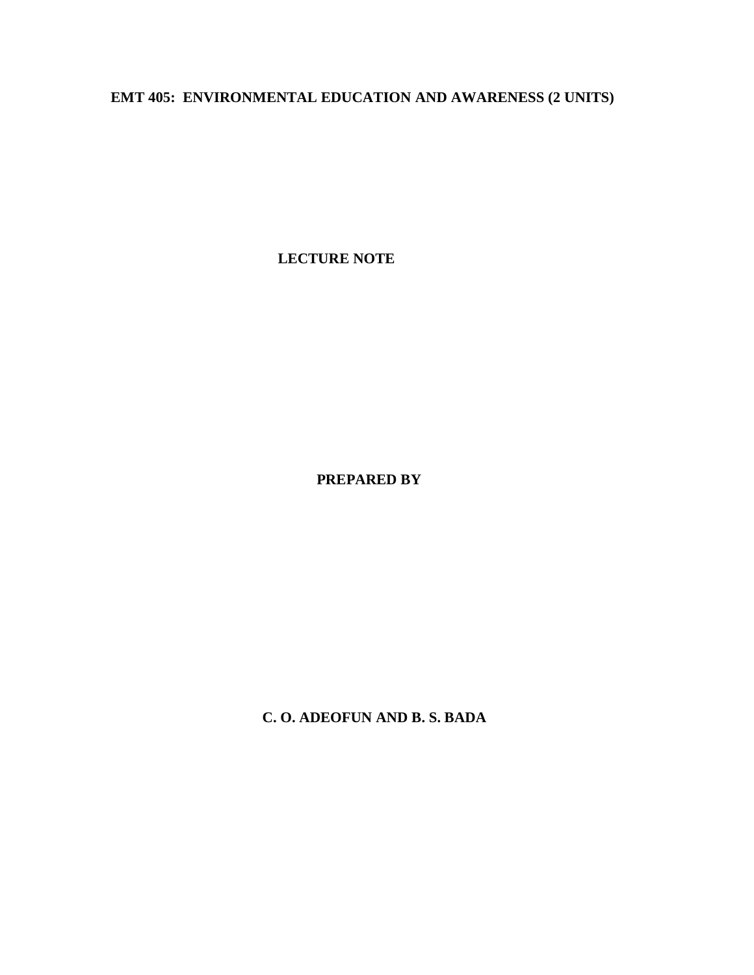# **EMT 405: ENVIRONMENTAL EDUCATION AND AWARENESS (2 UNITS)**

**LECTURE NOTE**

**PREPARED BY**

**C. O. ADEOFUN AND B. S. BADA**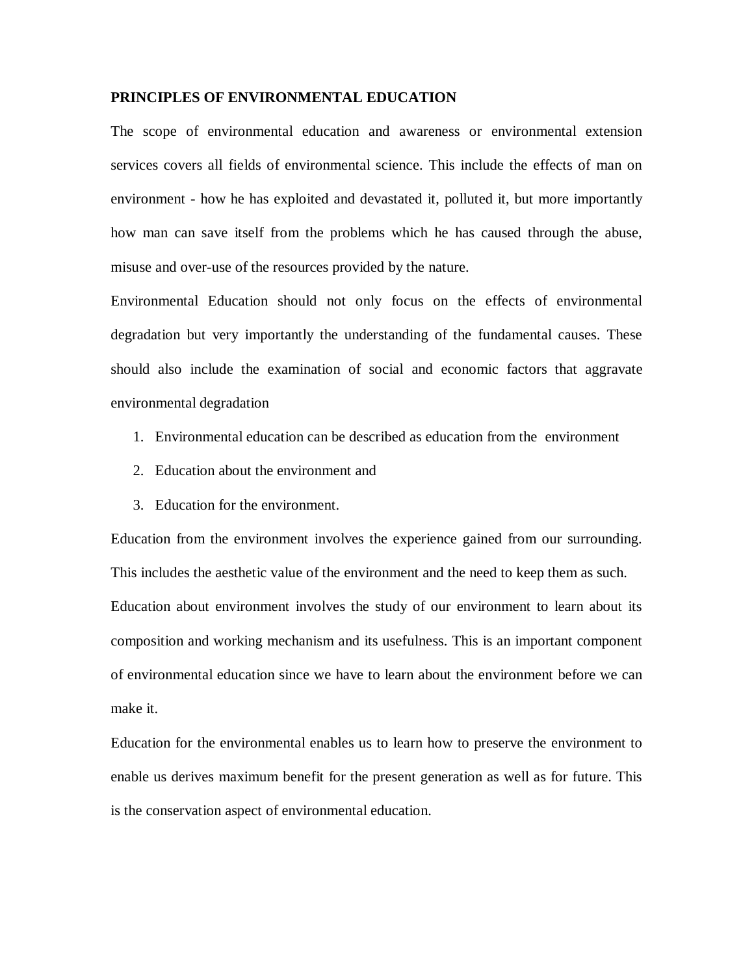### **PRINCIPLES OF ENVIRONMENTAL EDUCATION**

The scope of environmental education and awareness or environmental extension services covers all fields of environmental science. This include the effects of man on environment - how he has exploited and devastated it, polluted it, but more importantly how man can save itself from the problems which he has caused through the abuse, misuse and over-use of the resources provided by the nature.

Environmental Education should not only focus on the effects of environmental degradation but very importantly the understanding of the fundamental causes. These should also include the examination of social and economic factors that aggravate environmental degradation

- 1. Environmental education can be described as education from the environment
- 2. Education about the environment and
- 3. Education for the environment.

Education from the environment involves the experience gained from our surrounding. This includes the aesthetic value of the environment and the need to keep them as such. Education about environment involves the study of our environment to learn about its composition and working mechanism and its usefulness. This is an important component of environmental education since we have to learn about the environment before we can make it.

Education for the environmental enables us to learn how to preserve the environment to enable us derives maximum benefit for the present generation as well as for future. This is the conservation aspect of environmental education.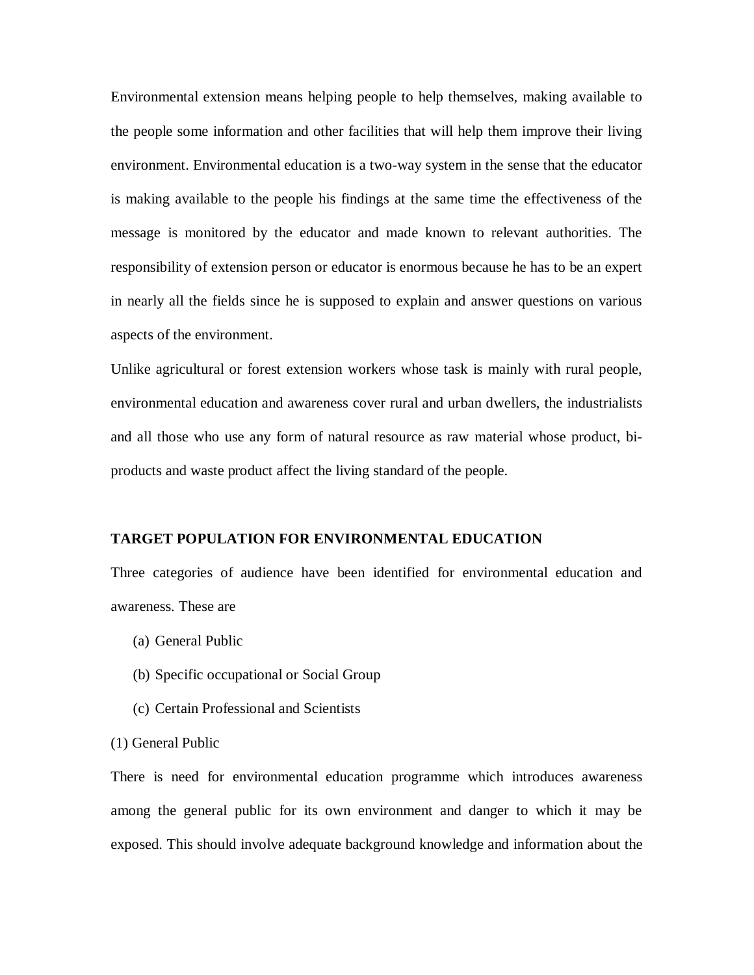Environmental extension means helping people to help themselves, making available to the people some information and other facilities that will help them improve their living environment. Environmental education is a two-way system in the sense that the educator is making available to the people his findings at the same time the effectiveness of the message is monitored by the educator and made known to relevant authorities. The responsibility of extension person or educator is enormous because he has to be an expert in nearly all the fields since he is supposed to explain and answer questions on various aspects of the environment.

Unlike agricultural or forest extension workers whose task is mainly with rural people, environmental education and awareness cover rural and urban dwellers, the industrialists and all those who use any form of natural resource as raw material whose product, biproducts and waste product affect the living standard of the people.

#### **TARGET POPULATION FOR ENVIRONMENTAL EDUCATION**

Three categories of audience have been identified for environmental education and awareness. These are

- (a) General Public
- (b) Specific occupational or Social Group
- (c) Certain Professional and Scientists
- (1) General Public

There is need for environmental education programme which introduces awareness among the general public for its own environment and danger to which it may be exposed. This should involve adequate background knowledge and information about the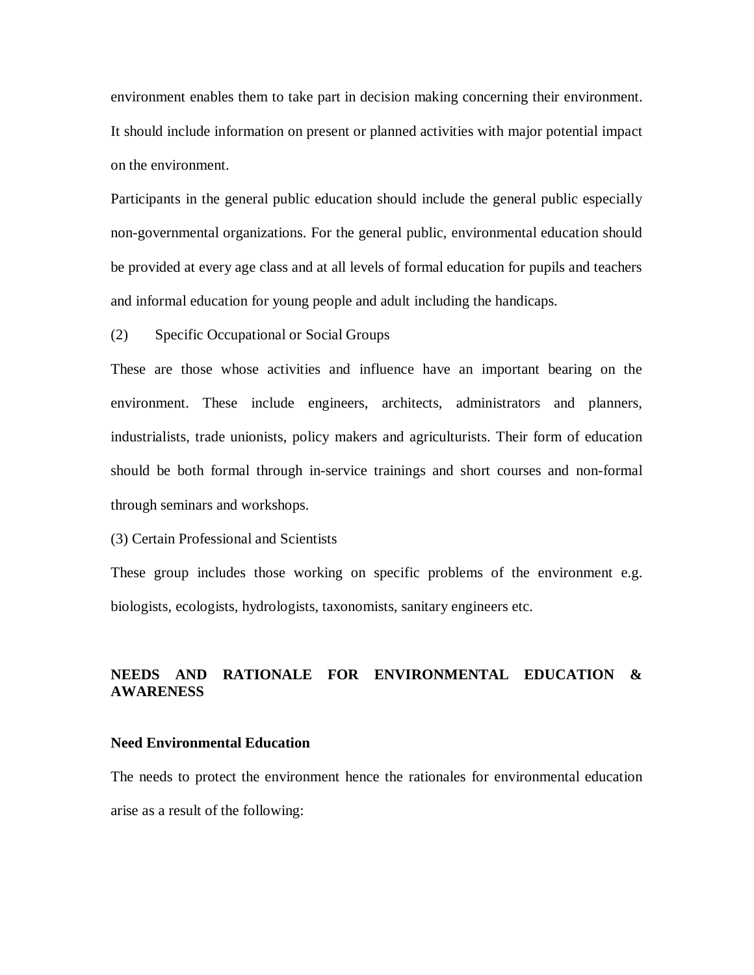environment enables them to take part in decision making concerning their environment. It should include information on present or planned activities with major potential impact on the environment.

Participants in the general public education should include the general public especially non-governmental organizations. For the general public, environmental education should be provided at every age class and at all levels of formal education for pupils and teachers and informal education for young people and adult including the handicaps.

(2) Specific Occupational or Social Groups

These are those whose activities and influence have an important bearing on the environment. These include engineers, architects, administrators and planners, industrialists, trade unionists, policy makers and agriculturists. Their form of education should be both formal through in-service trainings and short courses and non-formal through seminars and workshops.

(3) Certain Professional and Scientists

These group includes those working on specific problems of the environment e.g. biologists, ecologists, hydrologists, taxonomists, sanitary engineers etc.

# **NEEDS AND RATIONALE FOR ENVIRONMENTAL EDUCATION & AWARENESS**

#### **Need Environmental Education**

The needs to protect the environment hence the rationales for environmental education arise as a result of the following: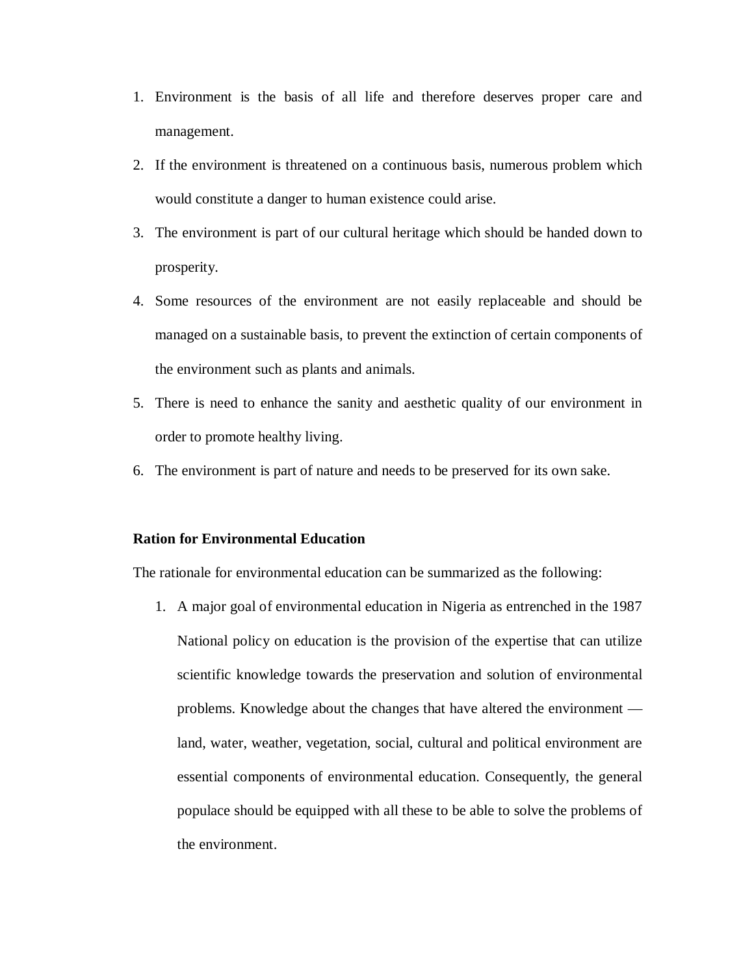- 1. Environment is the basis of all life and therefore deserves proper care and management.
- 2. If the environment is threatened on a continuous basis, numerous problem which would constitute a danger to human existence could arise.
- 3. The environment is part of our cultural heritage which should be handed down to prosperity.
- 4. Some resources of the environment are not easily replaceable and should be managed on a sustainable basis, to prevent the extinction of certain components of the environment such as plants and animals.
- 5. There is need to enhance the sanity and aesthetic quality of our environment in order to promote healthy living.
- 6. The environment is part of nature and needs to be preserved for its own sake.

#### **Ration for Environmental Education**

The rationale for environmental education can be summarized as the following:

1. A major goal of environmental education in Nigeria as entrenched in the 1987 National policy on education is the provision of the expertise that can utilize scientific knowledge towards the preservation and solution of environmental problems. Knowledge about the changes that have altered the environment land, water, weather, vegetation, social, cultural and political environment are essential components of environmental education. Consequently, the general populace should be equipped with all these to be able to solve the problems of the environment.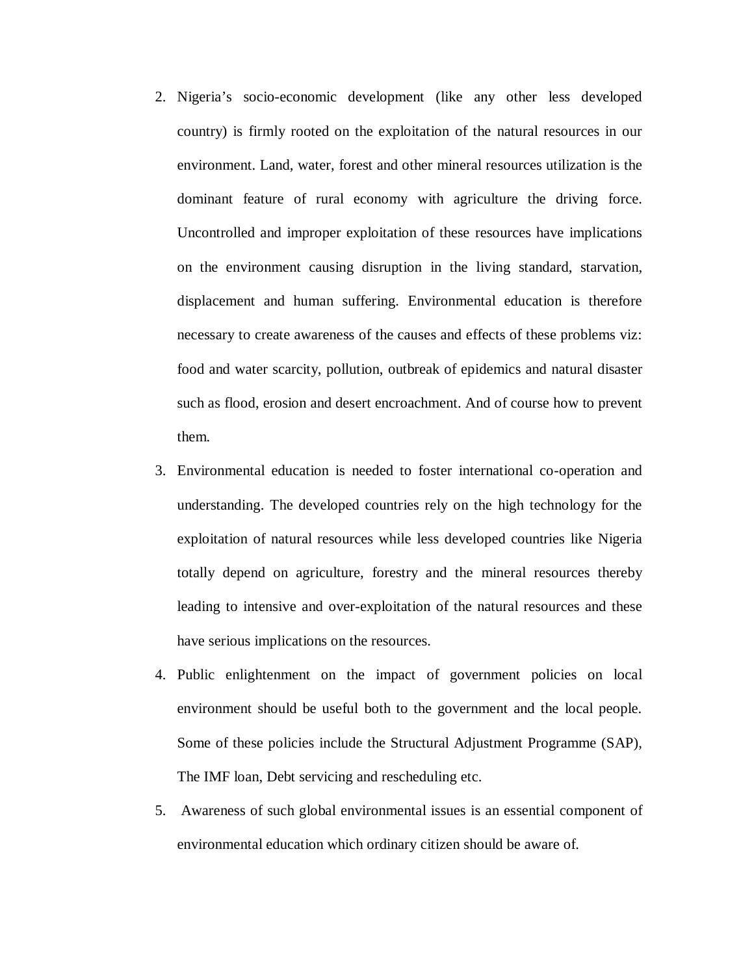- 2. Nigeria's socio-economic development (like any other less developed country) is firmly rooted on the exploitation of the natural resources in our environment. Land, water, forest and other mineral resources utilization is the dominant feature of rural economy with agriculture the driving force. Uncontrolled and improper exploitation of these resources have implications on the environment causing disruption in the living standard, starvation, displacement and human suffering. Environmental education is therefore necessary to create awareness of the causes and effects of these problems viz: food and water scarcity, pollution, outbreak of epidemics and natural disaster such as flood, erosion and desert encroachment. And of course how to prevent them.
- 3. Environmental education is needed to foster international co-operation and understanding. The developed countries rely on the high technology for the exploitation of natural resources while less developed countries like Nigeria totally depend on agriculture, forestry and the mineral resources thereby leading to intensive and over-exploitation of the natural resources and these have serious implications on the resources.
- 4. Public enlightenment on the impact of government policies on local environment should be useful both to the government and the local people. Some of these policies include the Structural Adjustment Programme (SAP), The IMF loan, Debt servicing and rescheduling etc.
- 5. Awareness of such global environmental issues is an essential component of environmental education which ordinary citizen should be aware of.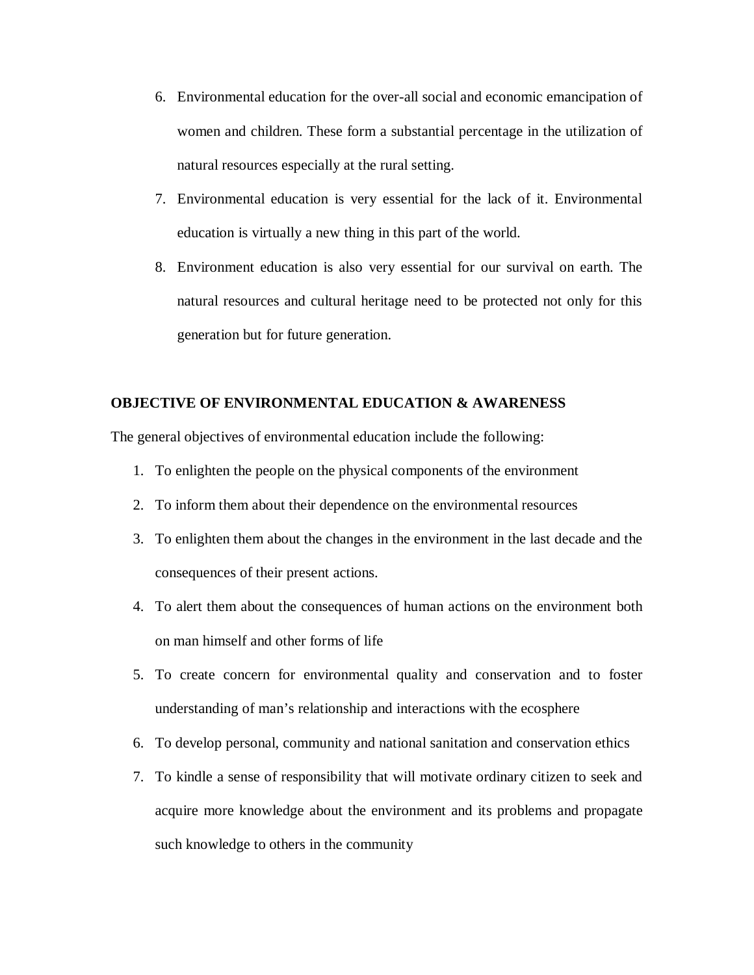- 6. Environmental education for the over-all social and economic emancipation of women and children. These form a substantial percentage in the utilization of natural resources especially at the rural setting.
- 7. Environmental education is very essential for the lack of it. Environmental education is virtually a new thing in this part of the world.
- 8. Environment education is also very essential for our survival on earth. The natural resources and cultural heritage need to be protected not only for this generation but for future generation.

# **OBJECTIVE OF ENVIRONMENTAL EDUCATION & AWARENESS**

The general objectives of environmental education include the following:

- 1. To enlighten the people on the physical components of the environment
- 2. To inform them about their dependence on the environmental resources
- 3. To enlighten them about the changes in the environment in the last decade and the consequences of their present actions.
- 4. To alert them about the consequences of human actions on the environment both on man himself and other forms of life
- 5. To create concern for environmental quality and conservation and to foster understanding of man's relationship and interactions with the ecosphere
- 6. To develop personal, community and national sanitation and conservation ethics
- 7. To kindle a sense of responsibility that will motivate ordinary citizen to seek and acquire more knowledge about the environment and its problems and propagate such knowledge to others in the community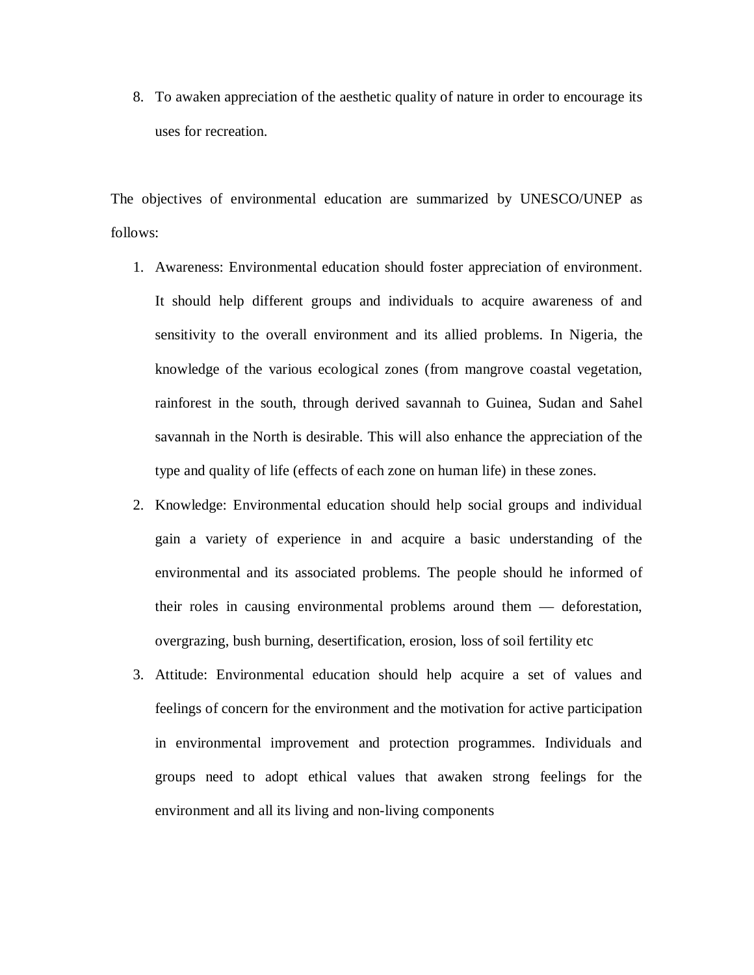8. To awaken appreciation of the aesthetic quality of nature in order to encourage its uses for recreation.

The objectives of environmental education are summarized by UNESCO/UNEP as follows:

- 1. Awareness: Environmental education should foster appreciation of environment. It should help different groups and individuals to acquire awareness of and sensitivity to the overall environment and its allied problems. In Nigeria, the knowledge of the various ecological zones (from mangrove coastal vegetation, rainforest in the south, through derived savannah to Guinea, Sudan and Sahel savannah in the North is desirable. This will also enhance the appreciation of the type and quality of life (effects of each zone on human life) in these zones.
- 2. Knowledge: Environmental education should help social groups and individual gain a variety of experience in and acquire a basic understanding of the environmental and its associated problems. The people should he informed of their roles in causing environmental problems around them — deforestation, overgrazing, bush burning, desertification, erosion, loss of soil fertility etc
- 3. Attitude: Environmental education should help acquire a set of values and feelings of concern for the environment and the motivation for active participation in environmental improvement and protection programmes. Individuals and groups need to adopt ethical values that awaken strong feelings for the environment and all its living and non-living components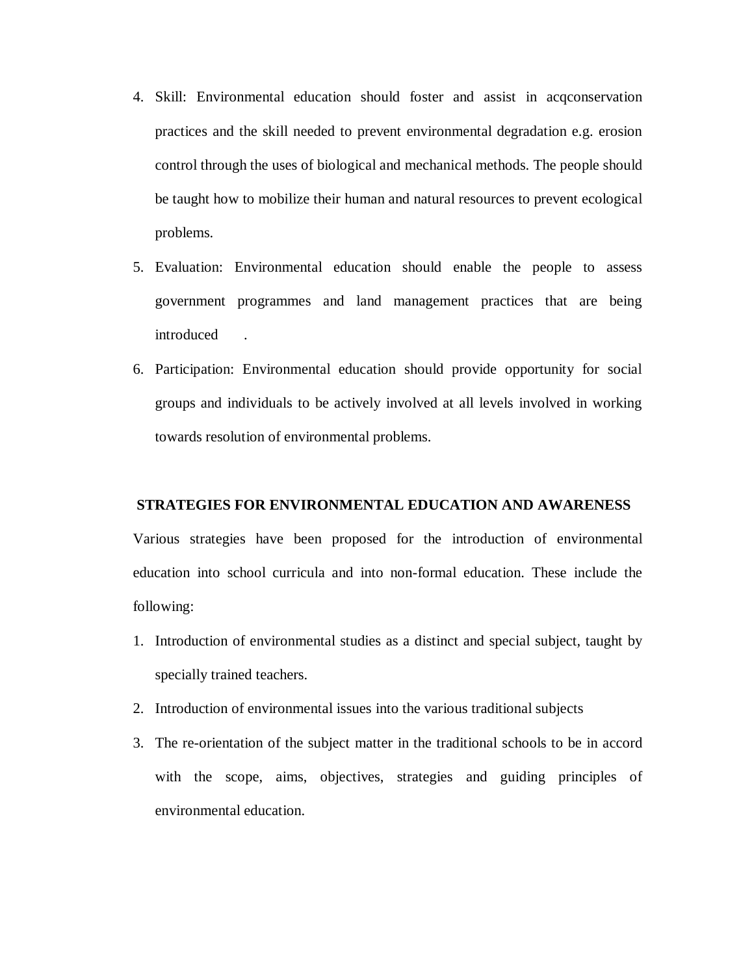- 4. Skill: Environmental education should foster and assist in acqconservation practices and the skill needed to prevent environmental degradation e.g. erosion control through the uses of biological and mechanical methods. The people should be taught how to mobilize their human and natural resources to prevent ecological problems.
- 5. Evaluation: Environmental education should enable the people to assess government programmes and land management practices that are being introduced .
- 6. Participation: Environmental education should provide opportunity for social groups and individuals to be actively involved at all levels involved in working towards resolution of environmental problems.

#### **STRATEGIES FOR ENVIRONMENTAL EDUCATION AND AWARENESS**

Various strategies have been proposed for the introduction of environmental education into school curricula and into non-formal education. These include the following:

- 1. Introduction of environmental studies as a distinct and special subject, taught by specially trained teachers.
- 2. Introduction of environmental issues into the various traditional subjects
- 3. The re-orientation of the subject matter in the traditional schools to be in accord with the scope, aims, objectives, strategies and guiding principles of environmental education.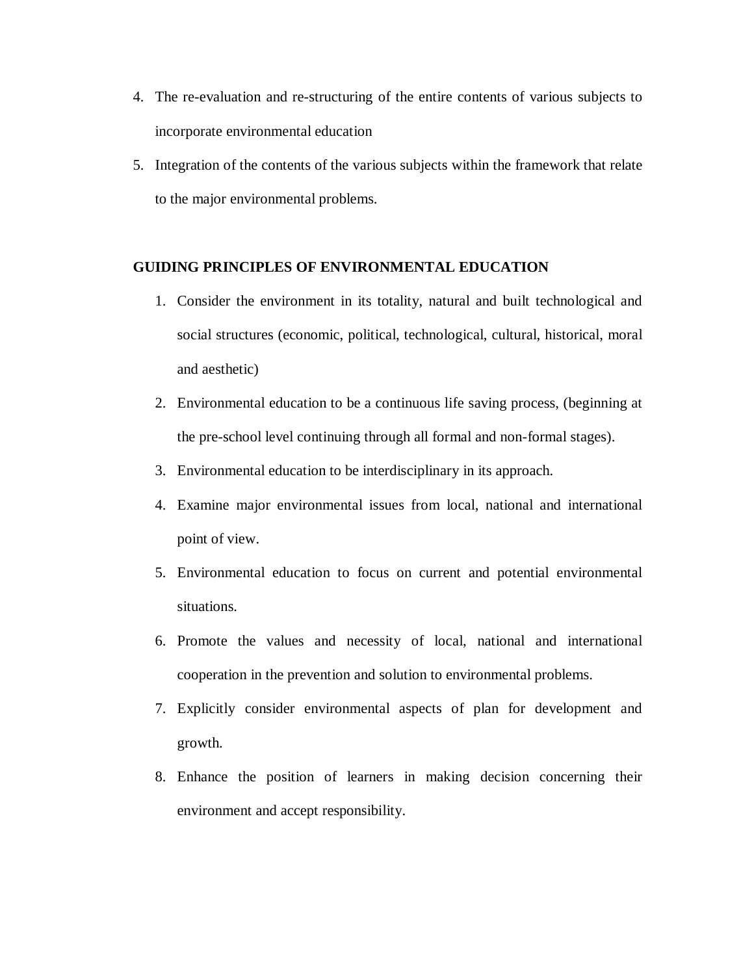- 4. The re-evaluation and re-structuring of the entire contents of various subjects to incorporate environmental education
- 5. Integration of the contents of the various subjects within the framework that relate to the major environmental problems.

#### **GUIDING PRINCIPLES OF ENVIRONMENTAL EDUCATION**

- 1. Consider the environment in its totality, natural and built technological and social structures (economic, political, technological, cultural, historical, moral and aesthetic)
- 2. Environmental education to be a continuous life saving process, (beginning at the pre-school level continuing through all formal and non-formal stages).
- 3. Environmental education to be interdisciplinary in its approach.
- 4. Examine major environmental issues from local, national and international point of view.
- 5. Environmental education to focus on current and potential environmental situations.
- 6. Promote the values and necessity of local, national and international cooperation in the prevention and solution to environmental problems.
- 7. Explicitly consider environmental aspects of plan for development and growth.
- 8. Enhance the position of learners in making decision concerning their environment and accept responsibility.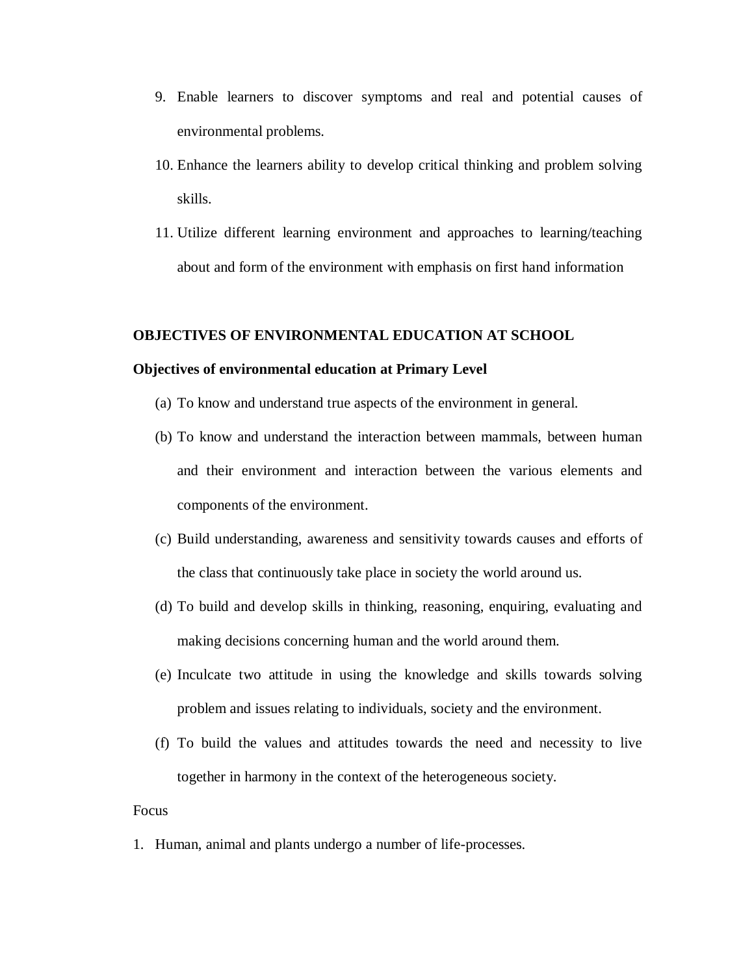- 9. Enable learners to discover symptoms and real and potential causes of environmental problems.
- 10. Enhance the learners ability to develop critical thinking and problem solving skills.
- 11. Utilize different learning environment and approaches to learning/teaching about and form of the environment with emphasis on first hand information

#### **OBJECTIVES OF ENVIRONMENTAL EDUCATION AT SCHOOL**

#### **Objectives of environmental education at Primary Level**

- (a) To know and understand true aspects of the environment in general.
- (b) To know and understand the interaction between mammals, between human and their environment and interaction between the various elements and components of the environment.
- (c) Build understanding, awareness and sensitivity towards causes and efforts of the class that continuously take place in society the world around us.
- (d) To build and develop skills in thinking, reasoning, enquiring, evaluating and making decisions concerning human and the world around them.
- (e) Inculcate two attitude in using the knowledge and skills towards solving problem and issues relating to individuals, society and the environment.
- (f) To build the values and attitudes towards the need and necessity to live together in harmony in the context of the heterogeneous society.

#### Focus

1. Human, animal and plants undergo a number of life-processes.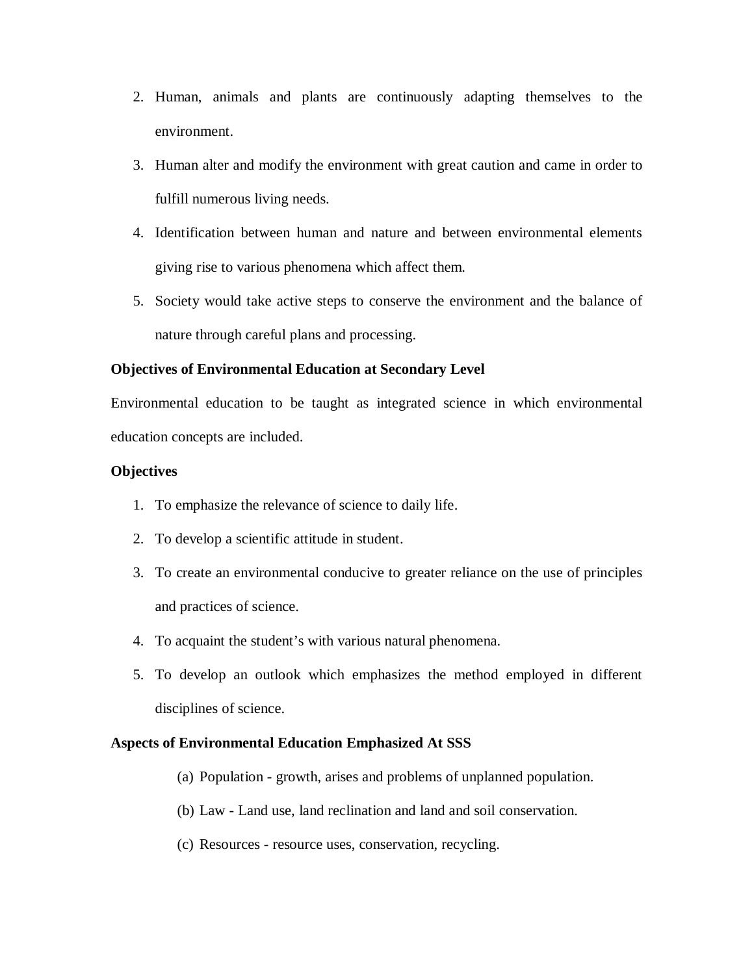- 2. Human, animals and plants are continuously adapting themselves to the environment.
- 3. Human alter and modify the environment with great caution and came in order to fulfill numerous living needs.
- 4. Identification between human and nature and between environmental elements giving rise to various phenomena which affect them.
- 5. Society would take active steps to conserve the environment and the balance of nature through careful plans and processing.

## **Objectives of Environmental Education at Secondary Level**

Environmental education to be taught as integrated science in which environmental education concepts are included.

### **Objectives**

- 1. To emphasize the relevance of science to daily life.
- 2. To develop a scientific attitude in student.
- 3. To create an environmental conducive to greater reliance on the use of principles and practices of science.
- 4. To acquaint the student's with various natural phenomena.
- 5. To develop an outlook which emphasizes the method employed in different disciplines of science.

### **Aspects of Environmental Education Emphasized At SSS**

- (a) Population growth, arises and problems of unplanned population.
- (b) Law Land use, land reclination and land and soil conservation.
- (c) Resources resource uses, conservation, recycling.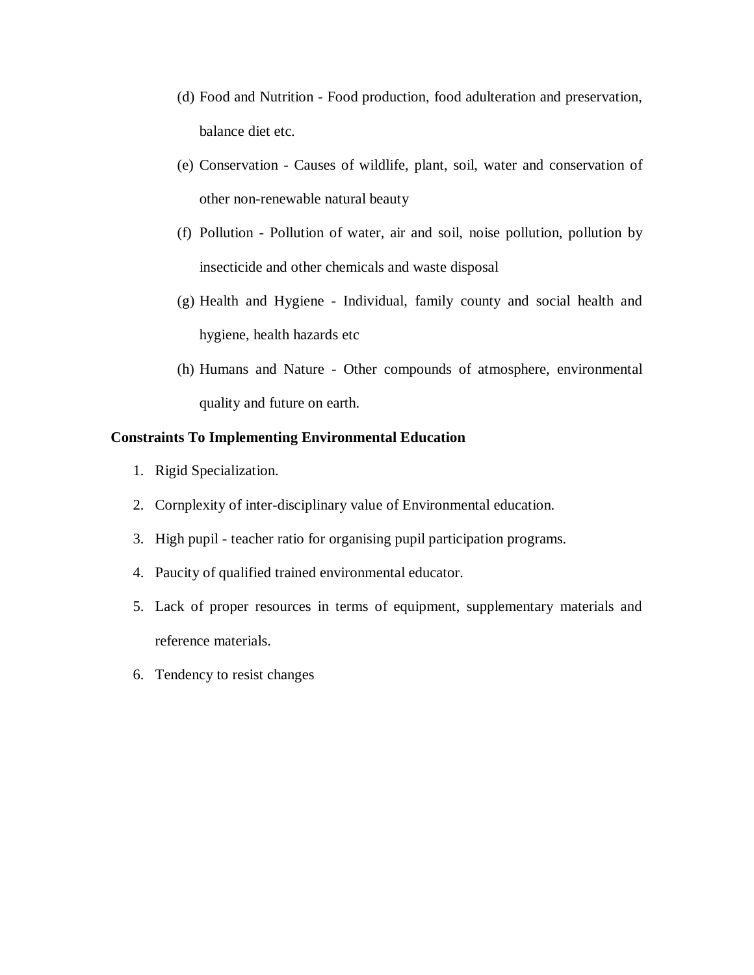- (d) Food and Nutrition Food production, food adulteration and preservation, balance diet etc.
- (e) Conservation Causes of wildlife, plant, soil, water and conservation of other non-renewable natural beauty
- (f) Pollution Pollution of water, air and soil, noise pollution, pollution by insecticide and other chemicals and waste disposal
- (g) Health and Hygiene Individual, family county and social health and hygiene, health hazards etc
- (h) Humans and Nature Other compounds of atmosphere, environmental quality and future on earth.

## **Constraints To Implementing Environmental Education**

- 1. Rigid Specialization.
- 2. Cornplexity of inter-disciplinary value of Environmental education.
- 3. High pupil teacher ratio for organising pupil participation programs.
- 4. Paucity of qualified trained environmental educator.
- 5. Lack of proper resources in terms of equipment, supplementary materials and reference materials.
- 6. Tendency to resist changes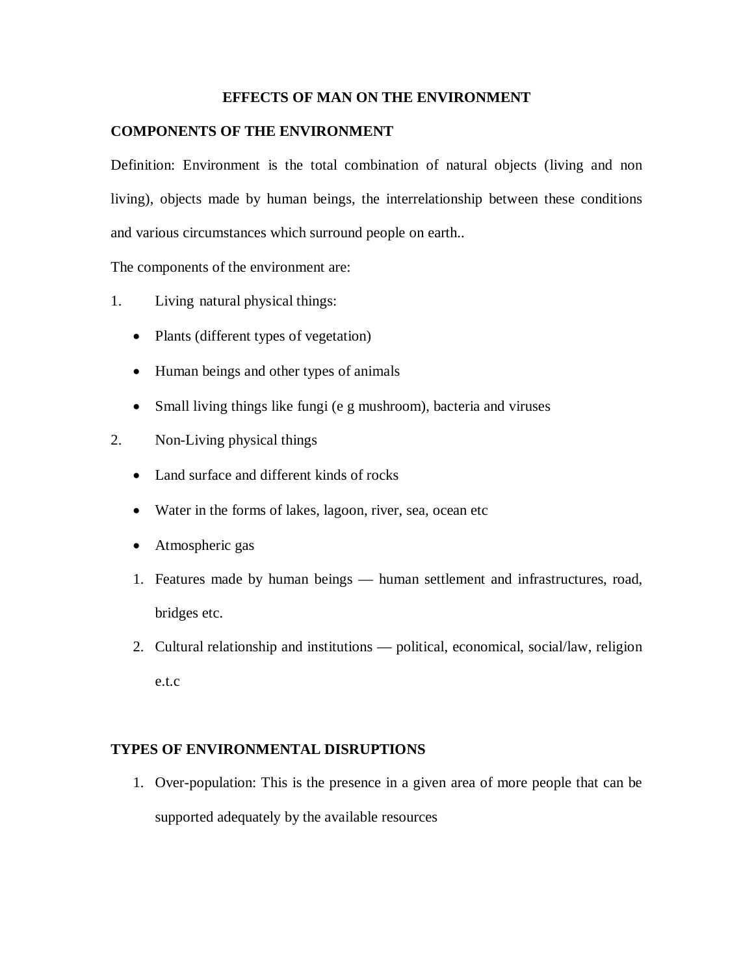### **EFFECTS OF MAN ON THE ENVIRONMENT**

### **COMPONENTS OF THE ENVIRONMENT**

Definition: Environment is the total combination of natural objects (living and non living), objects made by human beings, the interrelationship between these conditions and various circumstances which surround people on earth..

The components of the environment are:

- 1. Living natural physical things:
	- Plants (different types of vegetation)
	- Human beings and other types of animals
	- Small living things like fungi (e g mushroom), bacteria and viruses
- 2. Non-Living physical things
	- Land surface and different kinds of rocks
	- Water in the forms of lakes, lagoon, river, sea, ocean etc
	- Atmospheric gas
	- 1. Features made by human beings human settlement and infrastructures, road, bridges etc.
	- 2. Cultural relationship and institutions political, economical, social/law, religion e.t.c

#### **TYPES OF ENVIRONMENTAL DISRUPTIONS**

1. Over-population: This is the presence in a given area of more people that can be supported adequately by the available resources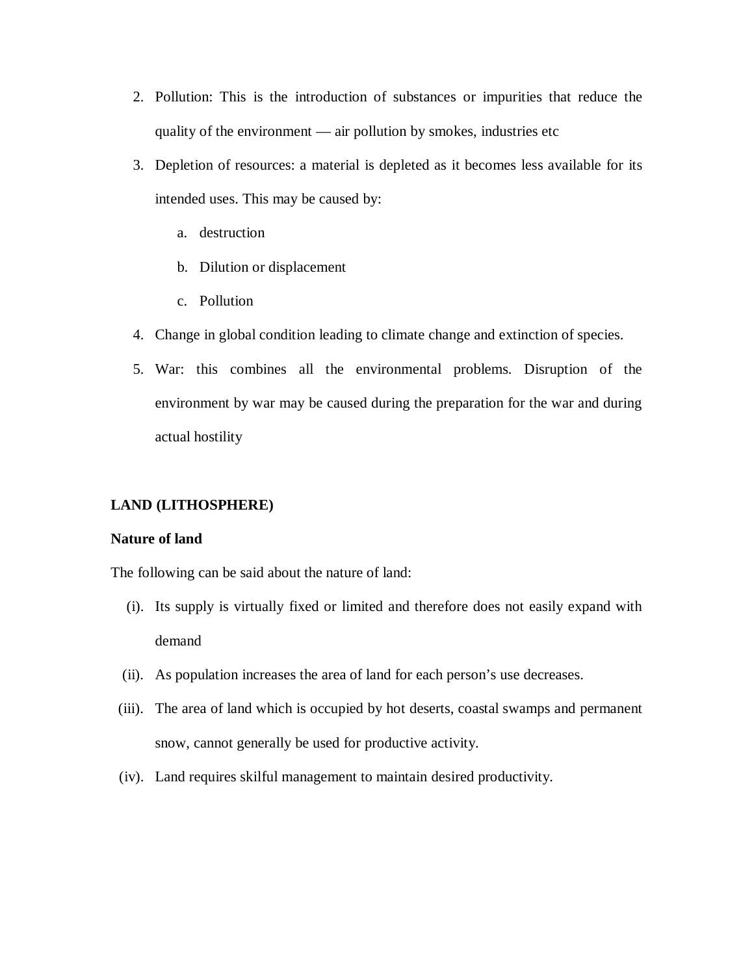- 2. Pollution: This is the introduction of substances or impurities that reduce the quality of the environment — air pollution by smokes, industries etc
- 3. Depletion of resources: a material is depleted as it becomes less available for its intended uses. This may be caused by:
	- a. destruction
	- b. Dilution or displacement
	- c. Pollution
- 4. Change in global condition leading to climate change and extinction of species.
- 5. War: this combines all the environmental problems. Disruption of the environment by war may be caused during the preparation for the war and during actual hostility

### **LAND (LITHOSPHERE)**

#### **Nature of land**

The following can be said about the nature of land:

- (i). Its supply is virtually fixed or limited and therefore does not easily expand with demand
- (ii). As population increases the area of land for each person's use decreases.
- (iii). The area of land which is occupied by hot deserts, coastal swamps and permanent snow, cannot generally be used for productive activity.
- (iv). Land requires skilful management to maintain desired productivity.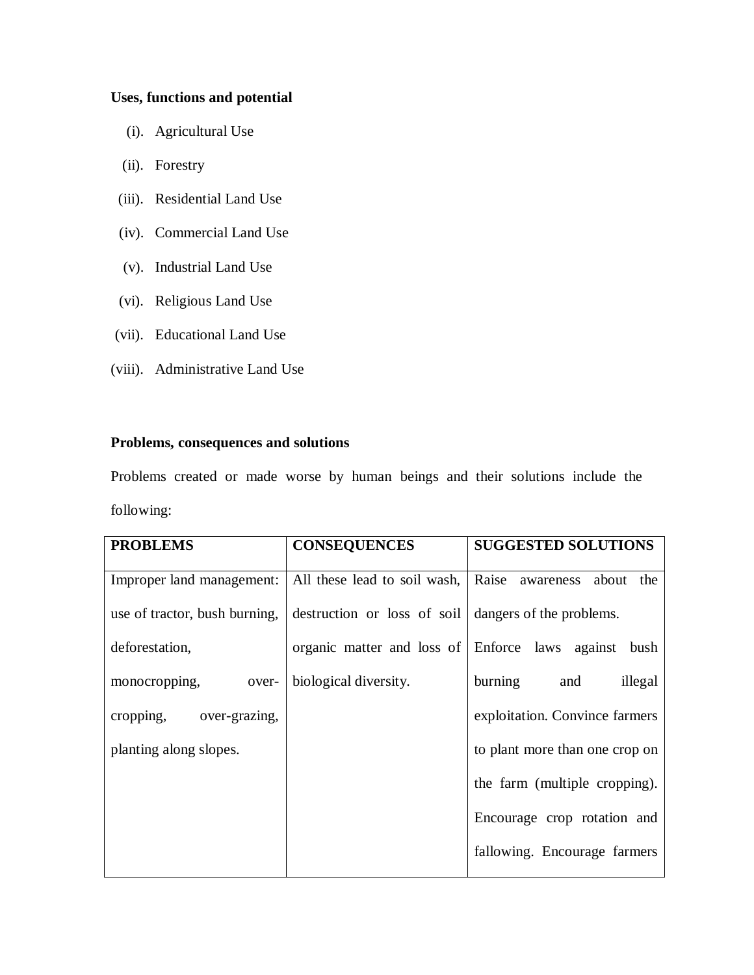## **Uses, functions and potential**

- (i). Agricultural Use
- (ii). Forestry
- (iii). Residential Land Use
- (iv). Commercial Land Use
- (v). Industrial Land Use
- (vi). Religious Land Use
- (vii). Educational Land Use
- (viii). Administrative Land Use

# **Problems, consequences and solutions**

Problems created or made worse by human beings and their solutions include the following:

| <b>PROBLEMS</b>               | <b>CONSEQUENCES</b>          | <b>SUGGESTED SOLUTIONS</b>     |
|-------------------------------|------------------------------|--------------------------------|
| Improper land management:     | All these lead to soil wash, | Raise awareness about the      |
| use of tractor, bush burning, | destruction or loss of soil  | dangers of the problems.       |
| deforestation,                | organic matter and loss of   | Enforce laws against<br>bush   |
| monocropping,<br>over-        | biological diversity.        | burning and<br>illegal         |
| cropping, over-grazing,       |                              | exploitation. Convince farmers |
| planting along slopes.        |                              | to plant more than one crop on |
|                               |                              | the farm (multiple cropping).  |
|                               |                              | Encourage crop rotation and    |
|                               |                              | fallowing. Encourage farmers   |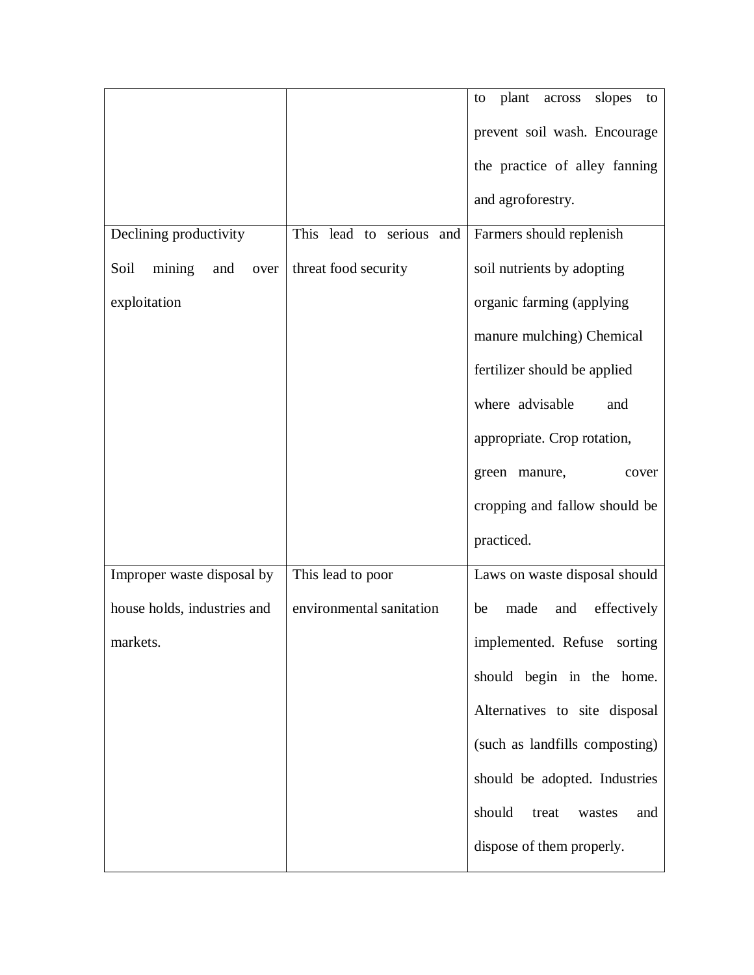|                               |                          | plant<br>slopes<br>across<br>to<br>to |
|-------------------------------|--------------------------|---------------------------------------|
|                               |                          | prevent soil wash. Encourage          |
|                               |                          | the practice of alley fanning         |
|                               |                          | and agroforestry.                     |
| Declining productivity        | This lead to serious and | Farmers should replenish              |
| Soil<br>mining<br>and<br>over | threat food security     | soil nutrients by adopting            |
| exploitation                  |                          | organic farming (applying             |
|                               |                          | manure mulching) Chemical             |
|                               |                          | fertilizer should be applied          |
|                               |                          | where advisable<br>and                |
|                               |                          | appropriate. Crop rotation,           |
|                               |                          | green manure,<br>cover                |
|                               |                          | cropping and fallow should be         |
|                               |                          | practiced.                            |
| Improper waste disposal by    | This lead to poor        | Laws on waste disposal should         |
| house holds, industries and   | environmental sanitation | made<br>effectively<br>and<br>be      |
| markets.                      |                          | implemented. Refuse sorting           |
|                               |                          | should begin in the home.             |
|                               |                          | Alternatives to site disposal         |
|                               |                          | (such as landfills composting)        |
|                               |                          | should be adopted. Industries         |
|                               |                          | should<br>treat<br>and<br>wastes      |
|                               |                          | dispose of them properly.             |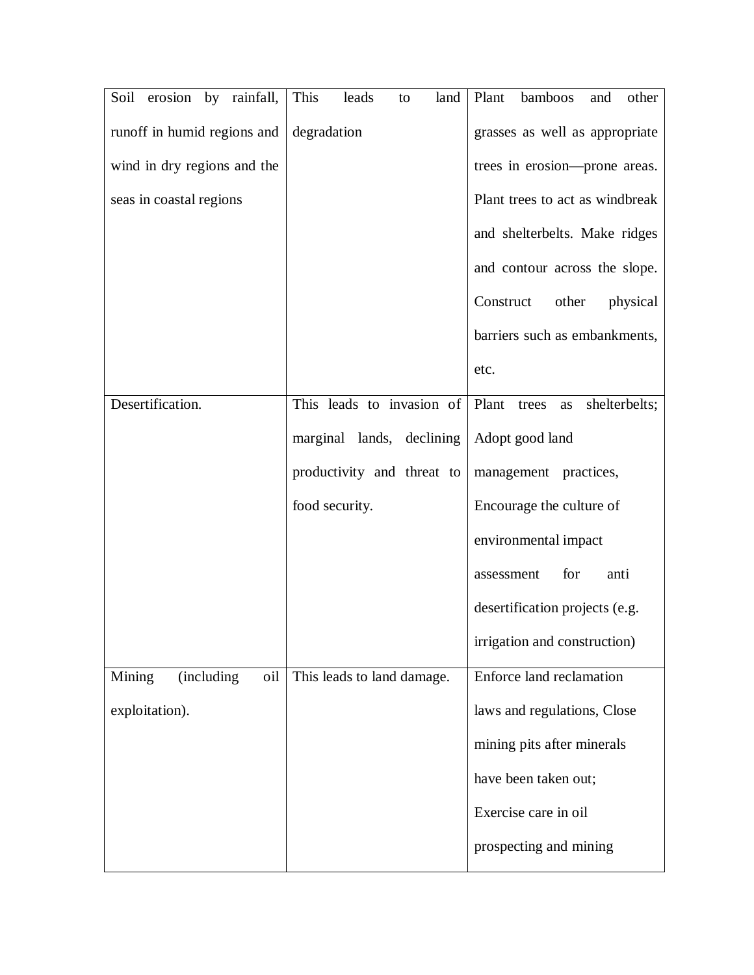| Soil erosion by rainfall,   | This<br>leads<br>land<br>to | Plant<br>bamboos<br>other<br>and   |
|-----------------------------|-----------------------------|------------------------------------|
| runoff in humid regions and | degradation                 | grasses as well as appropriate     |
| wind in dry regions and the |                             | trees in erosion---prone areas.    |
| seas in coastal regions     |                             | Plant trees to act as windbreak    |
|                             |                             | and shelterbelts. Make ridges      |
|                             |                             | and contour across the slope.      |
|                             |                             | Construct<br>other<br>physical     |
|                             |                             | barriers such as embankments,      |
|                             |                             | etc.                               |
| Desertification.            | This leads to invasion of   | shelterbelts;<br>Plant trees<br>as |
|                             | marginal lands, declining   | Adopt good land                    |
|                             | productivity and threat to  | management practices,              |
|                             | food security.              | Encourage the culture of           |
|                             |                             | environmental impact               |
|                             |                             | for<br>anti<br>assessment          |
|                             |                             | desertification projects (e.g.     |
|                             |                             | irrigation and construction)       |
| Mining<br>(including<br>oil | This leads to land damage.  | Enforce land reclamation           |
| exploitation).              |                             | laws and regulations, Close        |
|                             |                             | mining pits after minerals         |
|                             |                             | have been taken out;               |
|                             |                             | Exercise care in oil               |
|                             |                             | prospecting and mining             |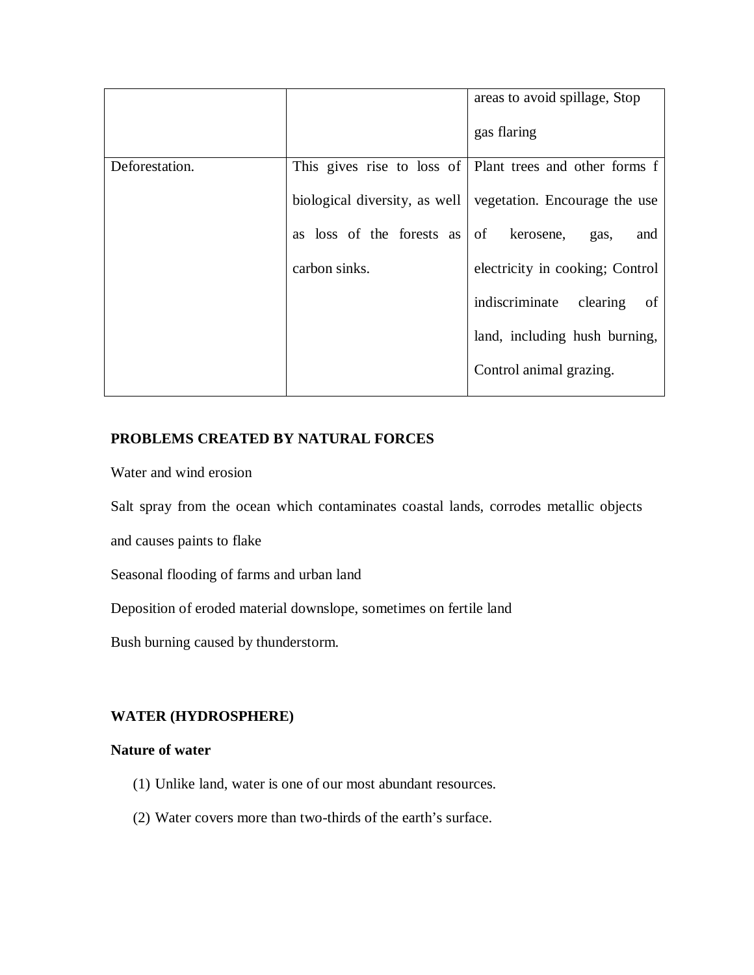|                |                           | areas to avoid spillage, Stop                                 |
|----------------|---------------------------|---------------------------------------------------------------|
|                |                           | gas flaring                                                   |
| Deforestation. |                           | This gives rise to loss of Plant trees and other forms f      |
|                |                           | biological diversity, as well   vegetation. Encourage the use |
|                | as loss of the forests as | of<br>kerosene,<br>and<br>gas,                                |
|                | carbon sinks.             | electricity in cooking; Control                               |
|                |                           | indiscriminate<br>clearing<br>of                              |
|                |                           | land, including hush burning,                                 |
|                |                           | Control animal grazing.                                       |

## **PROBLEMS CREATED BY NATURAL FORCES**

Water and wind erosion

Salt spray from the ocean which contaminates coastal lands, corrodes metallic objects

and causes paints to flake

Seasonal flooding of farms and urban land

Deposition of eroded material downslope, sometimes on fertile land

Bush burning caused by thunderstorm.

### **WATER (HYDROSPHERE)**

### **Nature of water**

- (1) Unlike land, water is one of our most abundant resources.
- (2) Water covers more than two-thirds of the earth's surface.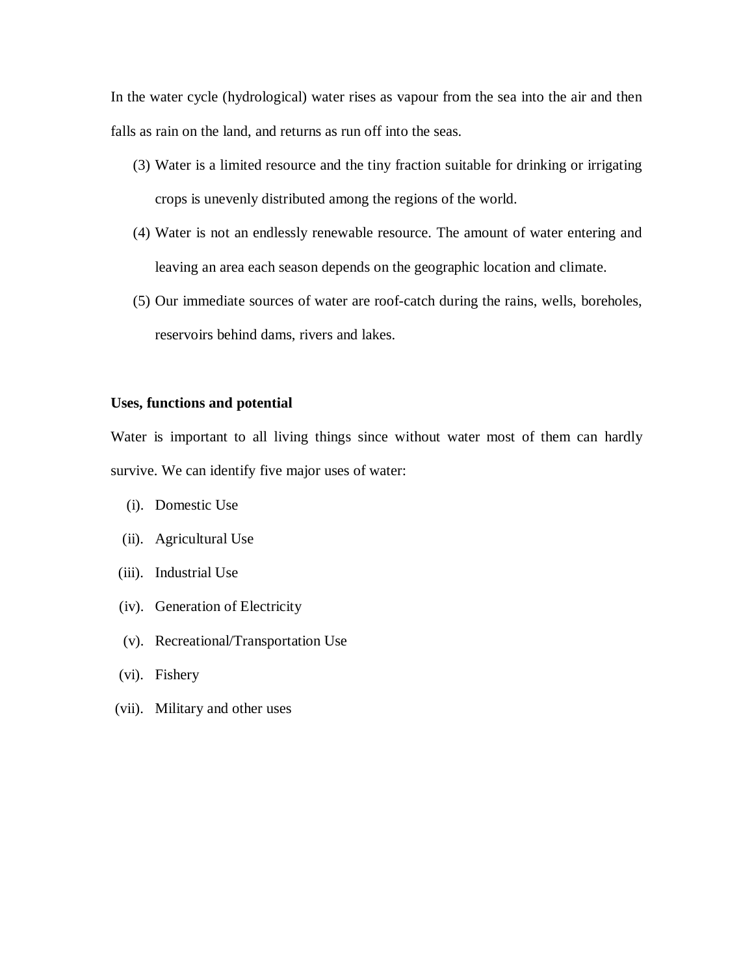In the water cycle (hydrological) water rises as vapour from the sea into the air and then falls as rain on the land, and returns as run off into the seas.

- (3) Water is a limited resource and the tiny fraction suitable for drinking or irrigating crops is unevenly distributed among the regions of the world.
- (4) Water is not an endlessly renewable resource. The amount of water entering and leaving an area each season depends on the geographic location and climate.
- (5) Our immediate sources of water are roof-catch during the rains, wells, boreholes, reservoirs behind dams, rivers and lakes.

#### **Uses, functions and potential**

Water is important to all living things since without water most of them can hardly survive. We can identify five major uses of water:

- (i). Domestic Use
- (ii). Agricultural Use
- (iii). Industrial Use
- (iv). Generation of Electricity
- (v). Recreational/Transportation Use
- (vi). Fishery
- (vii). Military and other uses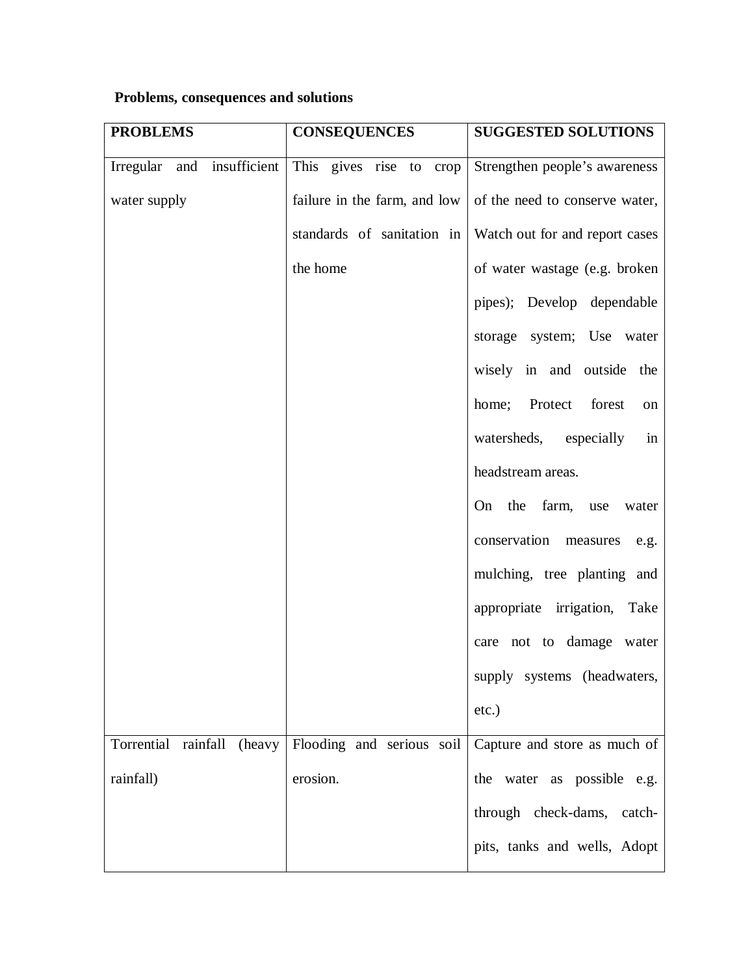# **Problems, consequences and solutions**

| <b>PROBLEMS</b>                   | <b>CONSEQUENCES</b>          | <b>SUGGESTED SOLUTIONS</b>       |
|-----------------------------------|------------------------------|----------------------------------|
| Irregular and insufficient        | This gives rise to crop      | Strengthen people's awareness    |
| water supply                      | failure in the farm, and low | of the need to conserve water,   |
|                                   | standards of sanitation in   | Watch out for and report cases   |
|                                   | the home                     | of water wastage (e.g. broken    |
|                                   |                              | pipes); Develop dependable       |
|                                   |                              | storage system; Use water        |
|                                   |                              | wisely in and outside the        |
|                                   |                              | Protect<br>forest<br>home;<br>on |
|                                   |                              | watersheds, especially<br>in     |
|                                   |                              | headstream areas.                |
|                                   |                              | On the farm, use<br>water        |
|                                   |                              | conservation<br>measures<br>e.g. |
|                                   |                              | mulching, tree planting and      |
|                                   |                              | appropriate irrigation, Take     |
|                                   |                              | care not to damage water         |
|                                   |                              | supply systems (headwaters,      |
|                                   |                              | $etc.$ )                         |
| Torrential<br>rainfall<br>(heavy) | Flooding and serious soil    | Capture and store as much of     |
| rainfall)                         | erosion.                     | the water as possible e.g.       |
|                                   |                              | through check-dams, catch-       |
|                                   |                              | pits, tanks and wells, Adopt     |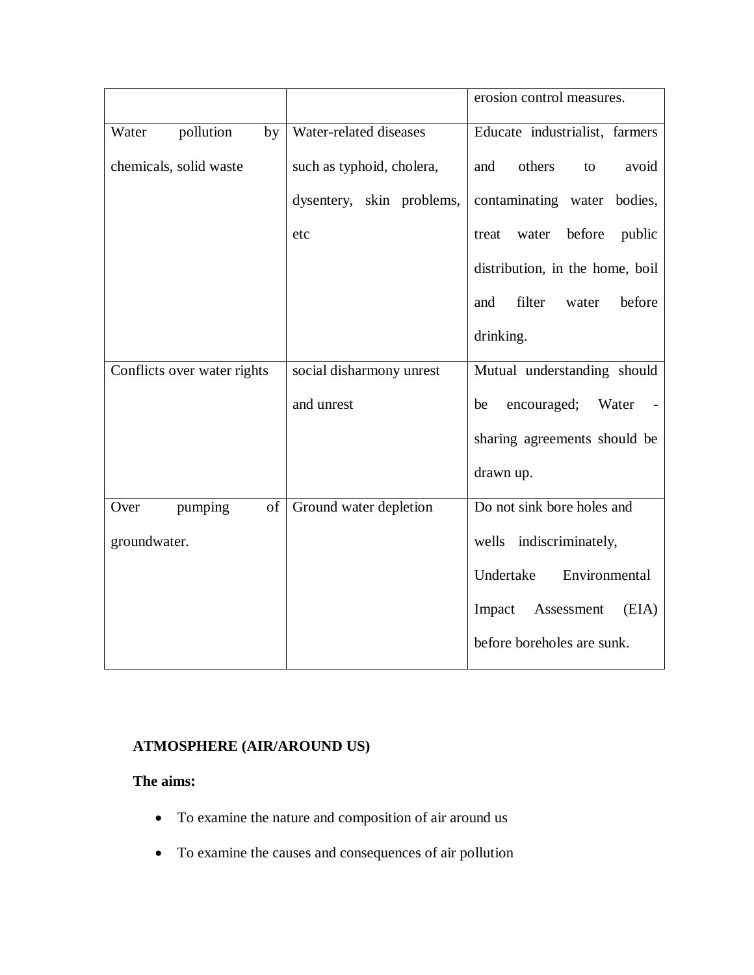|                             |                           | erosion control measures.          |
|-----------------------------|---------------------------|------------------------------------|
| pollution<br>Water<br>by    | Water-related diseases    | Educate industrialist, farmers     |
| chemicals, solid waste      | such as typhoid, cholera, | others<br>and<br>avoid<br>to       |
|                             | dysentery, skin problems, | contaminating water bodies,        |
|                             | etc                       | before<br>public<br>water<br>treat |
|                             |                           | distribution, in the home, boil    |
|                             |                           | filter<br>before<br>and<br>water   |
|                             |                           | drinking.                          |
| Conflicts over water rights | social disharmony unrest  | Mutual understanding should        |
|                             | and unrest                | encouraged;<br>Water<br>be         |
|                             |                           | sharing agreements should be       |
|                             |                           | drawn up.                          |
| pumping<br>of<br>Over       | Ground water depletion    | Do not sink bore holes and         |
| groundwater.                |                           | wells indiscriminately,            |
|                             |                           | Environmental<br>Undertake         |
|                             |                           | Assessment<br>(EIA)<br>Impact      |
|                             |                           | before boreholes are sunk.         |

# **ATMOSPHERE (AIR/AROUND US)**

# **The aims:**

- To examine the nature and composition of air around us
- To examine the causes and consequences of air pollution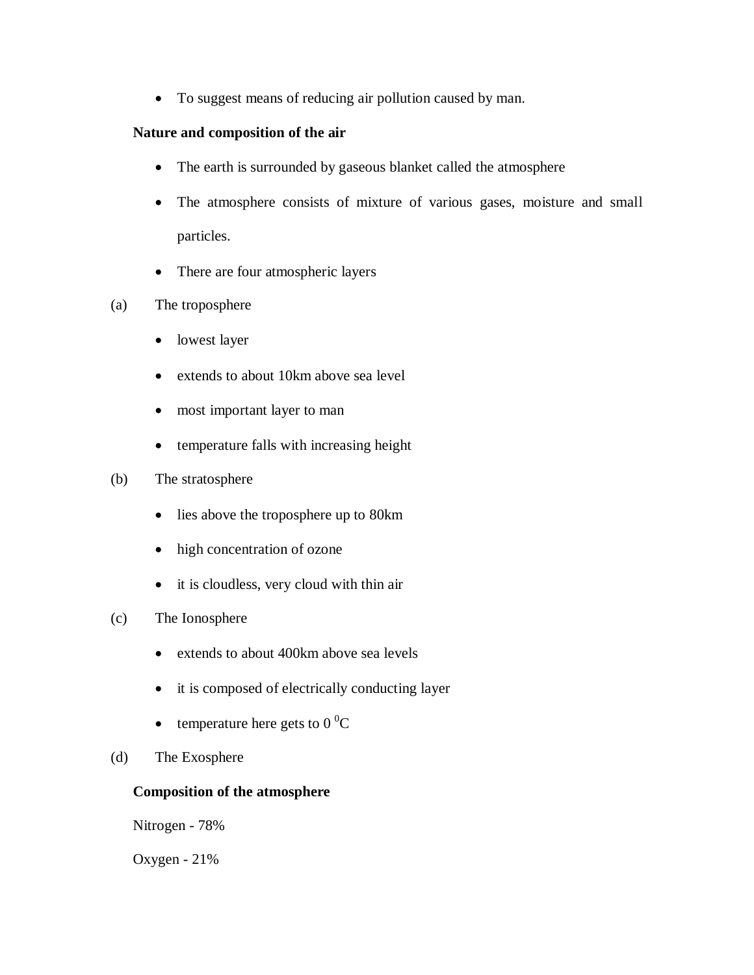To suggest means of reducing air pollution caused by man.

# **Nature and composition of the air**

- The earth is surrounded by gaseous blanket called the atmosphere
- The atmosphere consists of mixture of various gases, moisture and small particles.
- There are four atmospheric layers
- (a) The troposphere
	- lowest layer
	- extends to about 10km above sea level
	- most important layer to man
	- temperature falls with increasing height

## (b) The stratosphere

- lies above the troposphere up to 80km
- high concentration of ozone
- it is cloudless, very cloud with thin air
- (c) The Ionosphere
	- extends to about 400km above sea levels
	- it is composed of electrically conducting layer
	- temperature here gets to  $0^{\circ}C$
- (d) The Exosphere

# **Composition of the atmosphere**

Nitrogen - 78%

Oxygen - 21%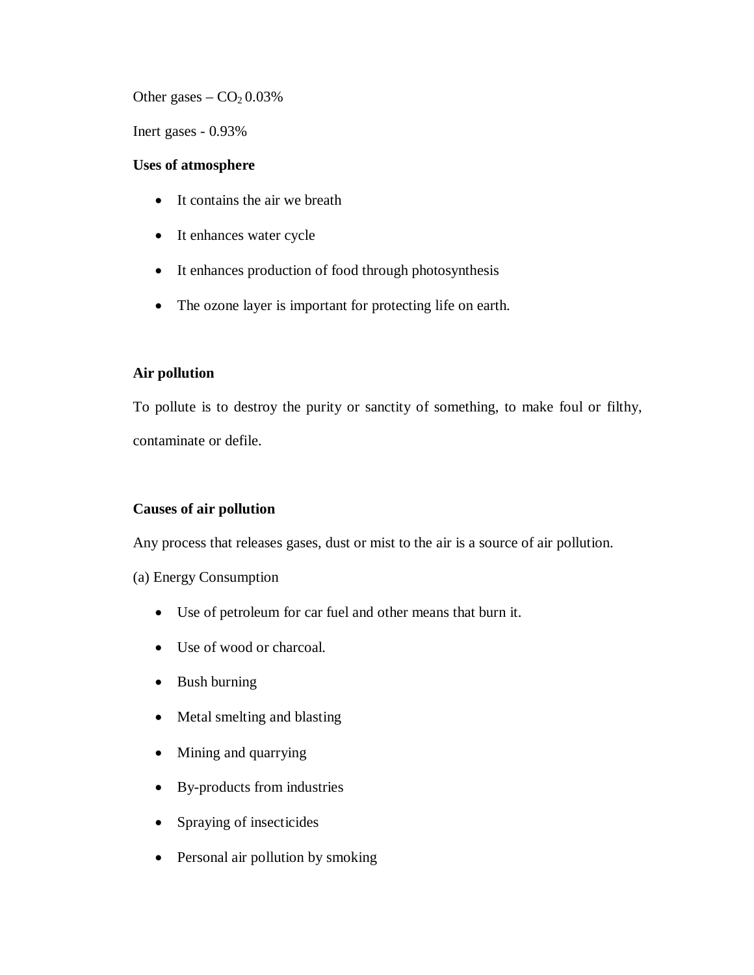Other gases  $-$  CO<sub>2</sub> 0.03%

Inert gases - 0.93%

### **Uses of atmosphere**

- It contains the air we breath
- It enhances water cycle
- It enhances production of food through photosynthesis
- The ozone layer is important for protecting life on earth.

# **Air pollution**

To pollute is to destroy the purity or sanctity of something, to make foul or filthy, contaminate or defile.

### **Causes of air pollution**

Any process that releases gases, dust or mist to the air is a source of air pollution.

### (a) Energy Consumption

- Use of petroleum for car fuel and other means that burn it.
- Use of wood or charcoal.
- Bush burning
- Metal smelting and blasting
- Mining and quarrying
- By-products from industries
- Spraying of insecticides
- Personal air pollution by smoking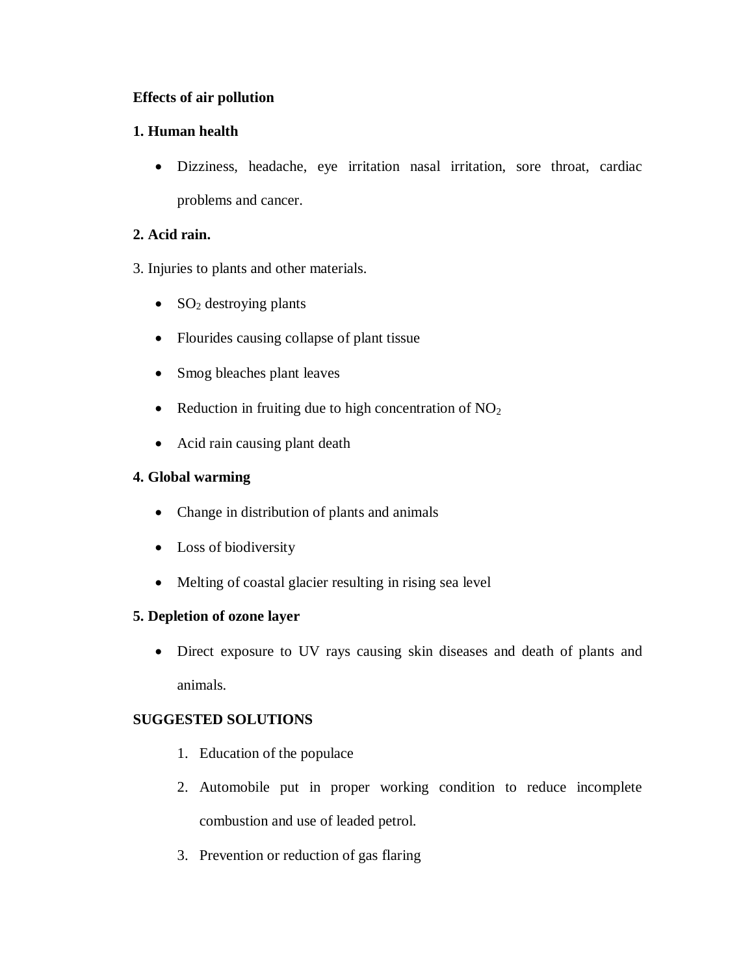# **Effects of air pollution**

# **1. Human health**

 Dizziness, headache, eye irritation nasal irritation, sore throat, cardiac problems and cancer.

# **2. Acid rain.**

- 3. Injuries to plants and other materials.
	- $\bullet$  SO<sub>2</sub> destroying plants
	- Flourides causing collapse of plant tissue
	- Smog bleaches plant leaves
	- Reduction in fruiting due to high concentration of  $NO<sub>2</sub>$
	- Acid rain causing plant death

# **4. Global warming**

- Change in distribution of plants and animals
- Loss of biodiversity
- Melting of coastal glacier resulting in rising sea level

# **5. Depletion of ozone layer**

 Direct exposure to UV rays causing skin diseases and death of plants and animals.

# **SUGGESTED SOLUTIONS**

- 1. Education of the populace
- 2. Automobile put in proper working condition to reduce incomplete combustion and use of leaded petrol.
- 3. Prevention or reduction of gas flaring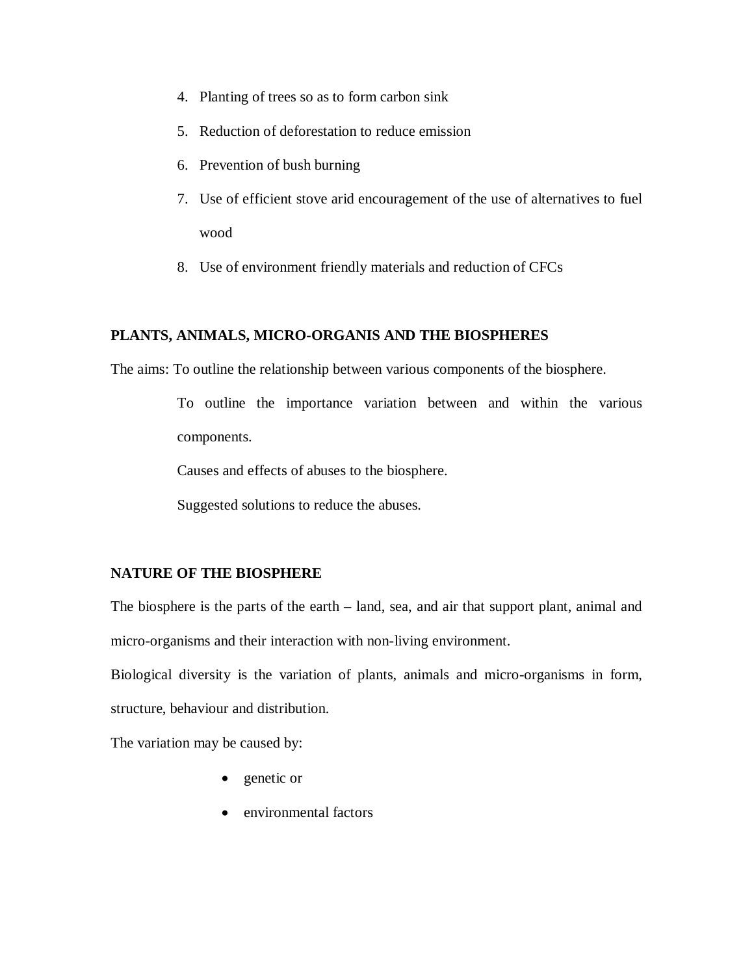- 4. Planting of trees so as to form carbon sink
- 5. Reduction of deforestation to reduce emission
- 6. Prevention of bush burning
- 7. Use of efficient stove arid encouragement of the use of alternatives to fuel wood
- 8. Use of environment friendly materials and reduction of CFCs

### **PLANTS, ANIMALS, MICRO-ORGANIS AND THE BIOSPHERES**

The aims: To outline the relationship between various components of the biosphere.

To outline the importance variation between and within the various components.

Causes and effects of abuses to the biosphere.

Suggested solutions to reduce the abuses.

#### **NATURE OF THE BIOSPHERE**

The biosphere is the parts of the earth – land, sea, and air that support plant, animal and micro-organisms and their interaction with non-living environment.

Biological diversity is the variation of plants, animals and micro-organisms in form, structure, behaviour and distribution.

The variation may be caused by:

- genetic or
- environmental factors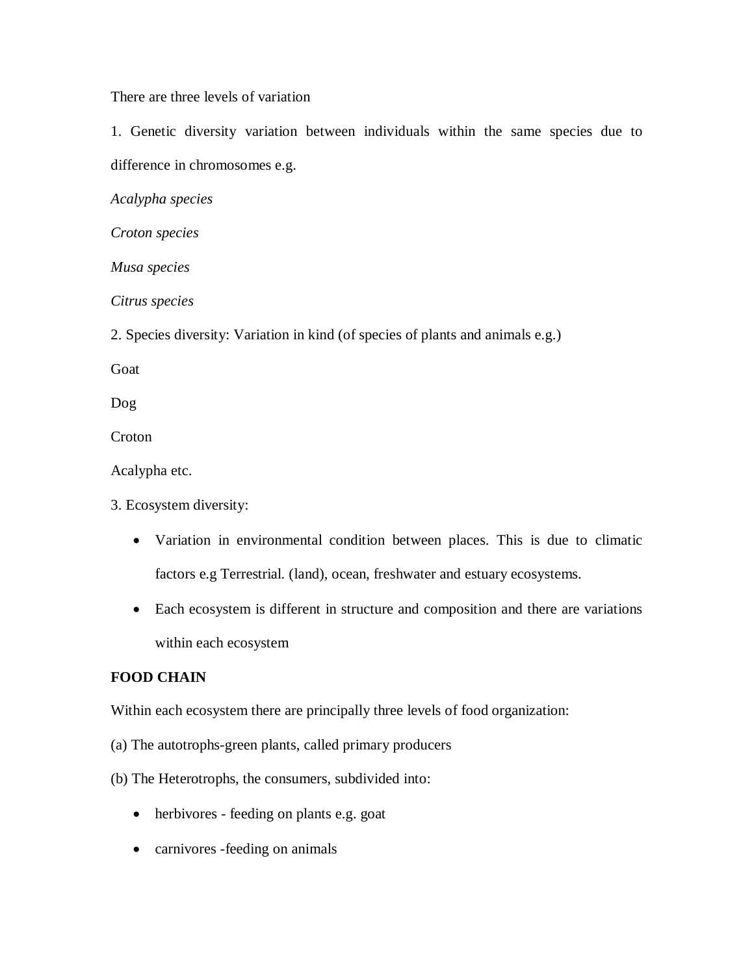There are three levels of variation

1. Genetic diversity variation between individuals within the same species due to difference in chromosomes e.g.

*Acalypha species*

*Croton species*

*Musa species*

*Citrus species*

2. Species diversity: Variation in kind (of species of plants and animals e.g.)

Goat

Dog

**Croton** 

Acalypha etc.

3. Ecosystem diversity:

- Variation in environmental condition between places. This is due to climatic factors e.g Terrestrial. (land), ocean, freshwater and estuary ecosystems.
- Each ecosystem is different in structure and composition and there are variations within each ecosystem

### **FOOD CHAIN**

Within each ecosystem there are principally three levels of food organization:

- (a) The autotrophs-green plants, called primary producers
- (b) The Heterotrophs, the consumers, subdivided into:
	- herbivores feeding on plants e.g. goat
	- carnivores -feeding on animals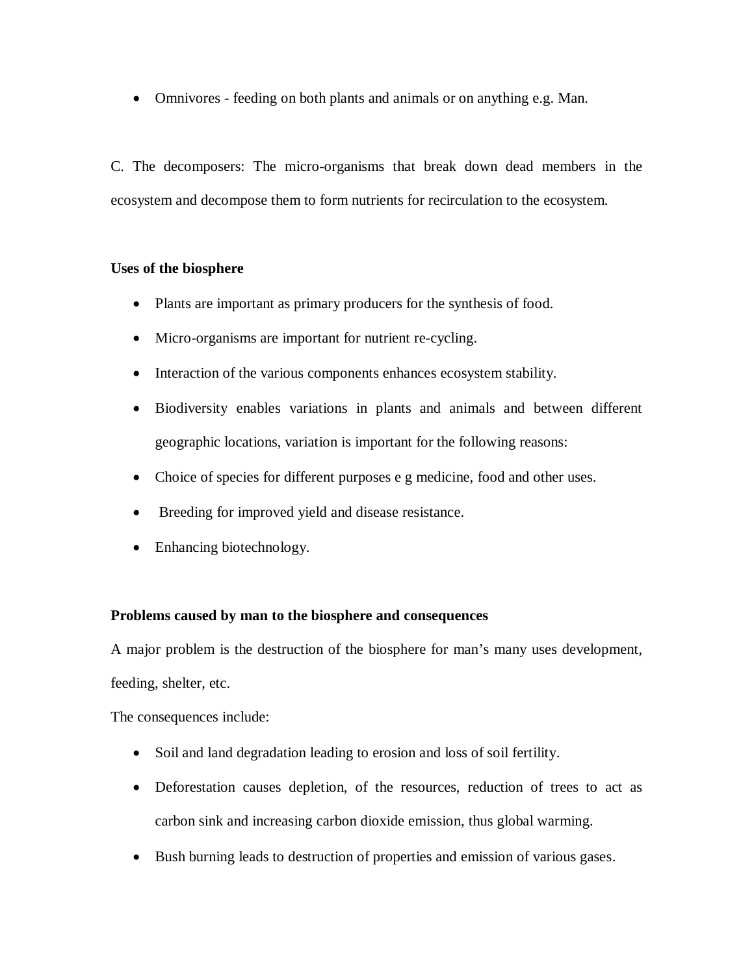Omnivores - feeding on both plants and animals or on anything e.g. Man.

C. The decomposers: The micro-organisms that break down dead members in the ecosystem and decompose them to form nutrients for recirculation to the ecosystem.

### **Uses of the biosphere**

- Plants are important as primary producers for the synthesis of food.
- Micro-organisms are important for nutrient re-cycling.
- Interaction of the various components enhances ecosystem stability.
- Biodiversity enables variations in plants and animals and between different geographic locations, variation is important for the following reasons:
- Choice of species for different purposes e g medicine, food and other uses.
- Breeding for improved yield and disease resistance.
- Enhancing biotechnology.

# **Problems caused by man to the biosphere and consequences**

A major problem is the destruction of the biosphere for man's many uses development, feeding, shelter, etc.

The consequences include:

- Soil and land degradation leading to erosion and loss of soil fertility.
- Deforestation causes depletion, of the resources, reduction of trees to act as carbon sink and increasing carbon dioxide emission, thus global warming.
- Bush burning leads to destruction of properties and emission of various gases.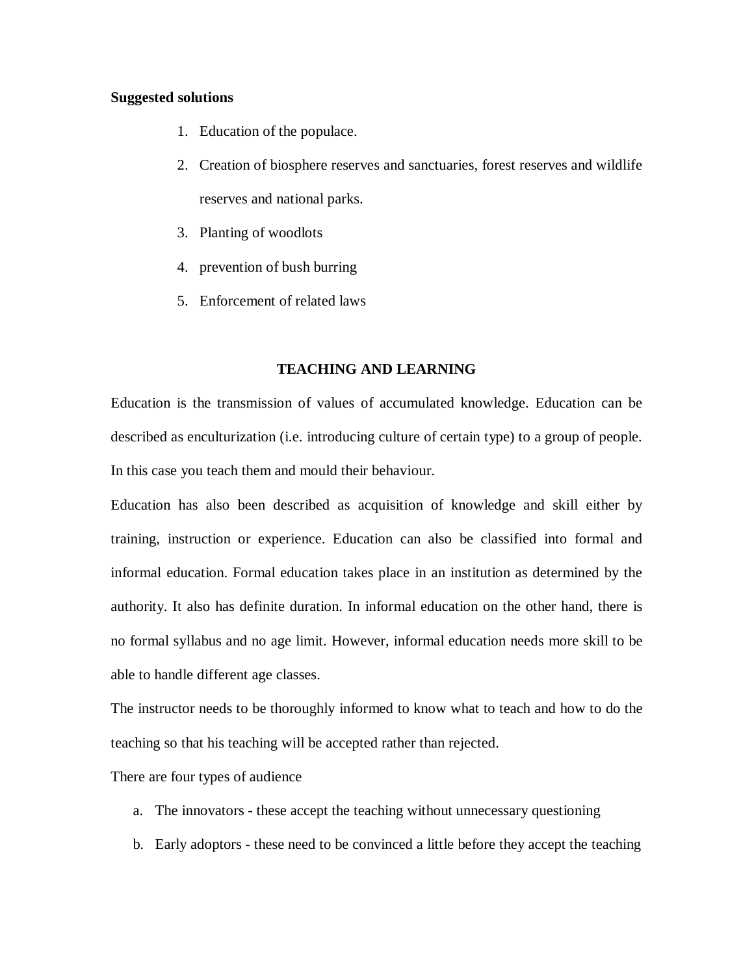#### **Suggested solutions**

- 1. Education of the populace.
- 2. Creation of biosphere reserves and sanctuaries, forest reserves and wildlife reserves and national parks.
- 3. Planting of woodlots
- 4. prevention of bush burring
- 5. Enforcement of related laws

#### **TEACHING AND LEARNING**

Education is the transmission of values of accumulated knowledge. Education can be described as enculturization (i.e. introducing culture of certain type) to a group of people. In this case you teach them and mould their behaviour.

Education has also been described as acquisition of knowledge and skill either by training, instruction or experience. Education can also be classified into formal and informal education. Formal education takes place in an institution as determined by the authority. It also has definite duration. In informal education on the other hand, there is no formal syllabus and no age limit. However, informal education needs more skill to be able to handle different age classes.

The instructor needs to be thoroughly informed to know what to teach and how to do the teaching so that his teaching will be accepted rather than rejected.

There are four types of audience

- a. The innovators these accept the teaching without unnecessary questioning
- b. Early adoptors these need to be convinced a little before they accept the teaching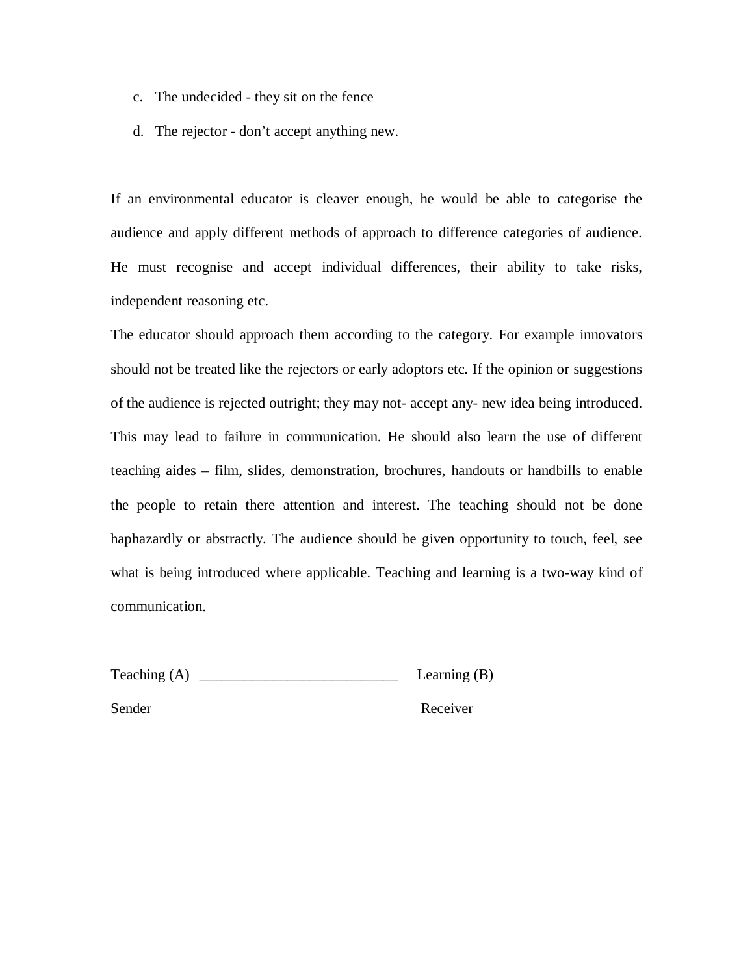- c. The undecided they sit on the fence
- d. The rejector don't accept anything new.

If an environmental educator is cleaver enough, he would be able to categorise the audience and apply different methods of approach to difference categories of audience. He must recognise and accept individual differences, their ability to take risks, independent reasoning etc.

The educator should approach them according to the category. For example innovators should not be treated like the rejectors or early adoptors etc. If the opinion or suggestions of the audience is rejected outright; they may not- accept any- new idea being introduced. This may lead to failure in communication. He should also learn the use of different teaching aides – film, slides, demonstration, brochures, handouts or handbills to enable the people to retain there attention and interest. The teaching should not be done haphazardly or abstractly. The audience should be given opportunity to touch, feel, see what is being introduced where applicable. Teaching and learning is a two-way kind of communication.

Teaching (A) \_\_\_\_\_\_\_\_\_\_\_\_\_\_\_\_\_\_\_\_\_\_\_\_\_\_\_ Learning (B)

Sender Receiver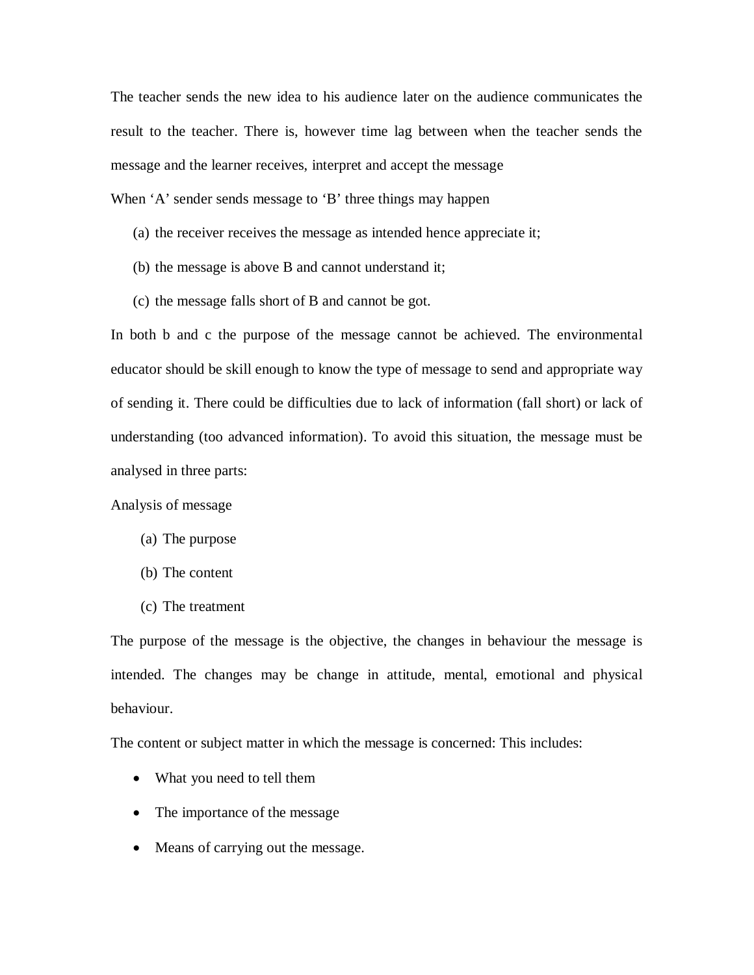The teacher sends the new idea to his audience later on the audience communicates the result to the teacher. There is, however time lag between when the teacher sends the message and the learner receives, interpret and accept the message

- When 'A' sender sends message to 'B' three things may happen
	- (a) the receiver receives the message as intended hence appreciate it;
	- (b) the message is above B and cannot understand it;
	- (c) the message falls short of B and cannot be got.

In both b and c the purpose of the message cannot be achieved. The environmental educator should be skill enough to know the type of message to send and appropriate way of sending it. There could be difficulties due to lack of information (fall short) or lack of understanding (too advanced information). To avoid this situation, the message must be analysed in three parts:

### Analysis of message

- (a) The purpose
- (b) The content
- (c) The treatment

The purpose of the message is the objective, the changes in behaviour the message is intended. The changes may be change in attitude, mental, emotional and physical behaviour.

The content or subject matter in which the message is concerned: This includes:

- What you need to tell them
- The importance of the message
- Means of carrying out the message.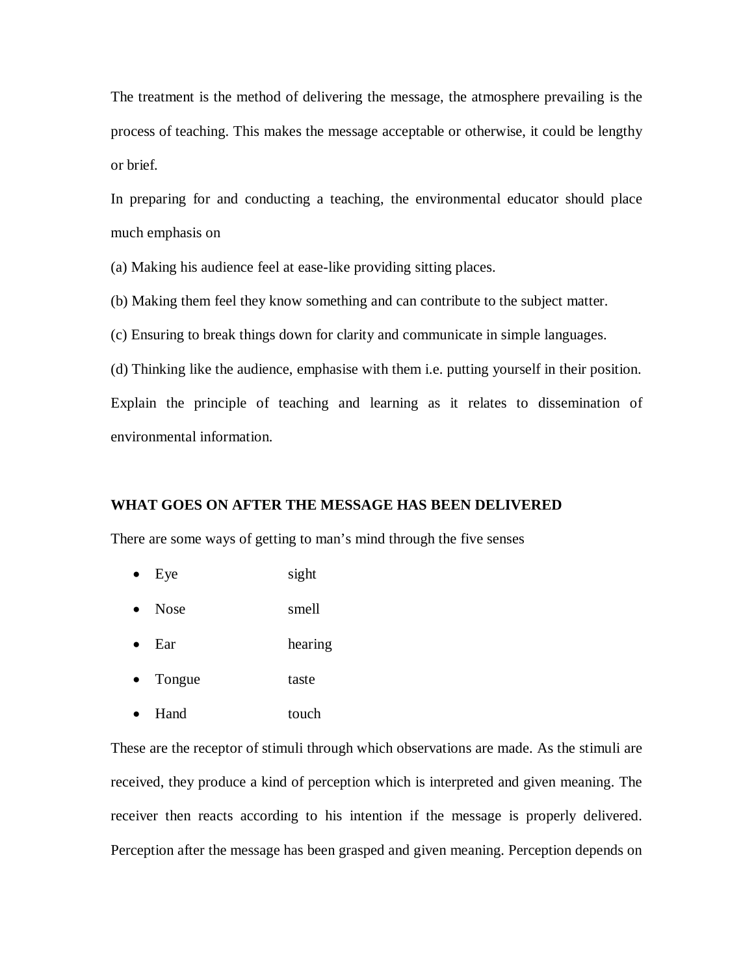The treatment is the method of delivering the message, the atmosphere prevailing is the process of teaching. This makes the message acceptable or otherwise, it could be lengthy or brief.

In preparing for and conducting a teaching, the environmental educator should place much emphasis on

(a) Making his audience feel at ease-like providing sitting places.

(b) Making them feel they know something and can contribute to the subject matter.

(c) Ensuring to break things down for clarity and communicate in simple languages.

(d) Thinking like the audience, emphasise with them i.e. putting yourself in their position.

Explain the principle of teaching and learning as it relates to dissemination of environmental information.

#### **WHAT GOES ON AFTER THE MESSAGE HAS BEEN DELIVERED**

There are some ways of getting to man's mind through the five senses

- Eye sight
- Nose smell
- Ear hearing
- Tongue taste
- Hand touch

These are the receptor of stimuli through which observations are made. As the stimuli are received, they produce a kind of perception which is interpreted and given meaning. The receiver then reacts according to his intention if the message is properly delivered. Perception after the message has been grasped and given meaning. Perception depends on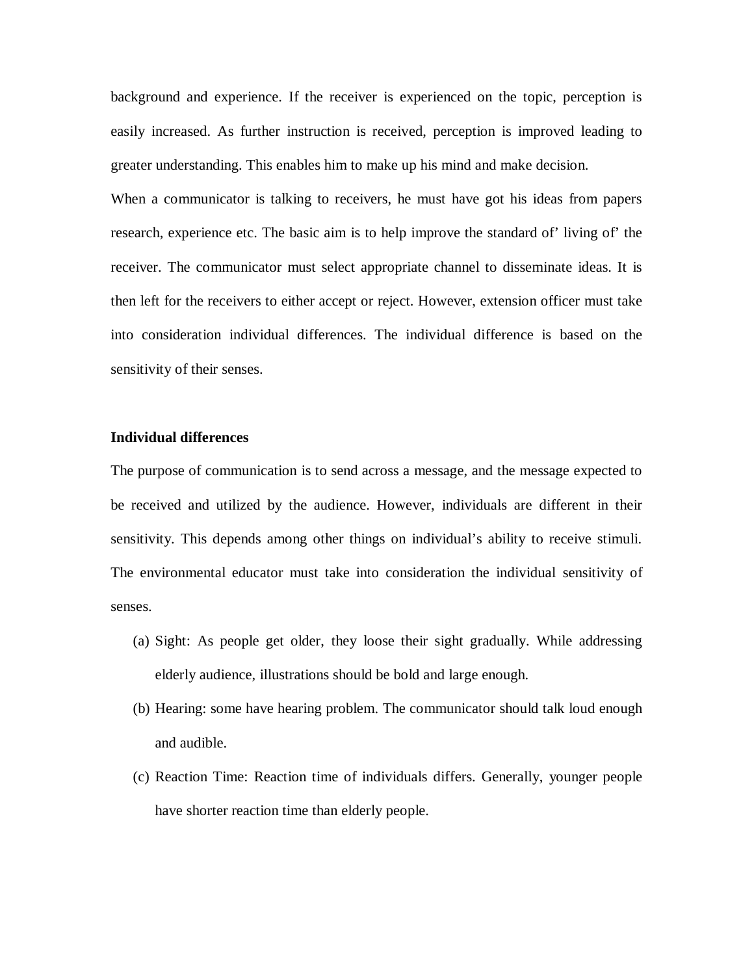background and experience. If the receiver is experienced on the topic, perception is easily increased. As further instruction is received, perception is improved leading to greater understanding. This enables him to make up his mind and make decision.

When a communicator is talking to receivers, he must have got his ideas from papers research, experience etc. The basic aim is to help improve the standard of' living of' the receiver. The communicator must select appropriate channel to disseminate ideas. It is then left for the receivers to either accept or reject. However, extension officer must take into consideration individual differences. The individual difference is based on the sensitivity of their senses.

#### **Individual differences**

The purpose of communication is to send across a message, and the message expected to be received and utilized by the audience. However, individuals are different in their sensitivity. This depends among other things on individual's ability to receive stimuli. The environmental educator must take into consideration the individual sensitivity of senses.

- (a) Sight: As people get older, they loose their sight gradually. While addressing elderly audience, illustrations should be bold and large enough.
- (b) Hearing: some have hearing problem. The communicator should talk loud enough and audible.
- (c) Reaction Time: Reaction time of individuals differs. Generally, younger people have shorter reaction time than elderly people.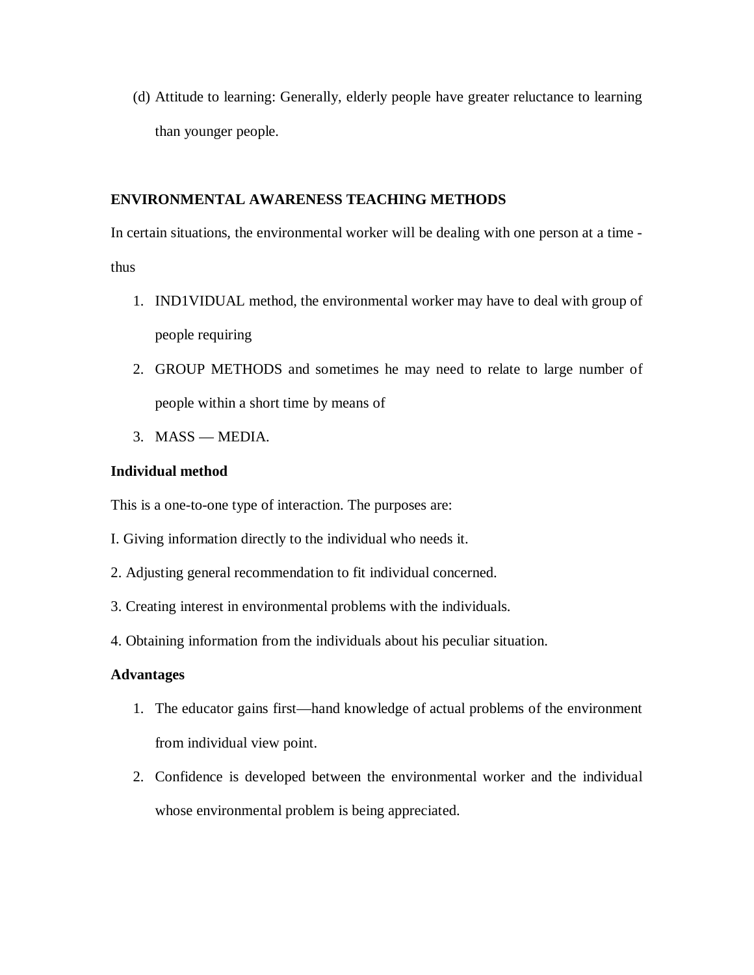(d) Attitude to learning: Generally, elderly people have greater reluctance to learning than younger people.

# **ENVIRONMENTAL AWARENESS TEACHING METHODS**

In certain situations, the environmental worker will be dealing with one person at a time thus

- 1. IND1VIDUAL method, the environmental worker may have to deal with group of people requiring
- 2. GROUP METHODS and sometimes he may need to relate to large number of people within a short time by means of
- 3. MASS MEDIA.

# **Individual method**

This is a one-to-one type of interaction. The purposes are:

- I. Giving information directly to the individual who needs it.
- 2. Adjusting general recommendation to fit individual concerned.
- 3. Creating interest in environmental problems with the individuals.
- 4. Obtaining information from the individuals about his peculiar situation.

# **Advantages**

- 1. The educator gains first—hand knowledge of actual problems of the environment from individual view point.
- 2. Confidence is developed between the environmental worker and the individual whose environmental problem is being appreciated.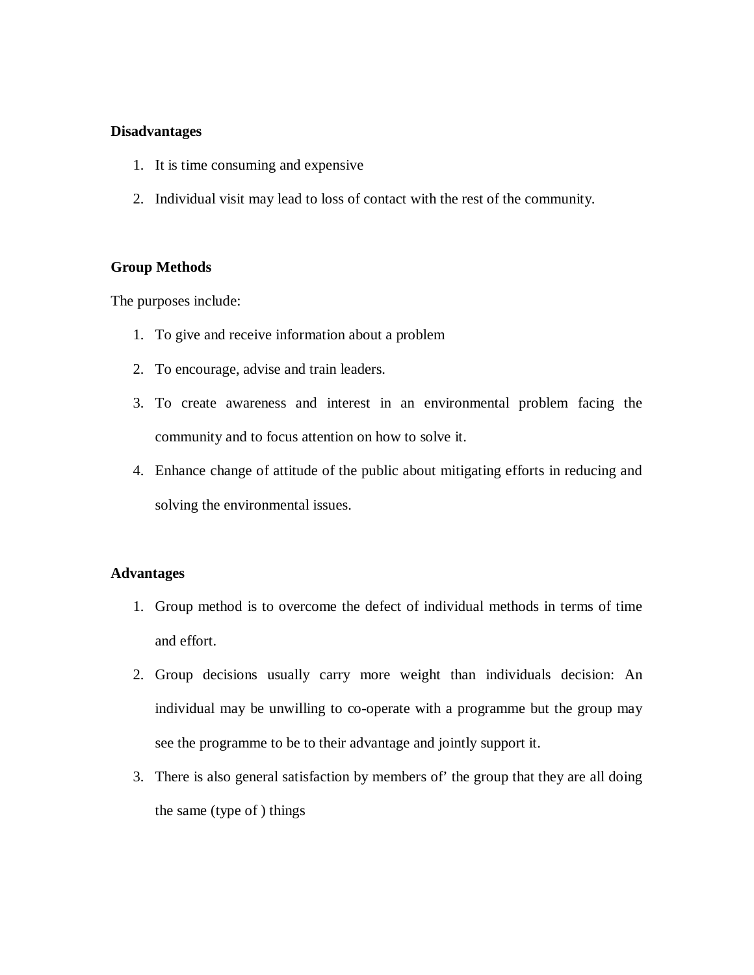### **Disadvantages**

- 1. It is time consuming and expensive
- 2. Individual visit may lead to loss of contact with the rest of the community.

### **Group Methods**

The purposes include:

- 1. To give and receive information about a problem
- 2. To encourage, advise and train leaders.
- 3. To create awareness and interest in an environmental problem facing the community and to focus attention on how to solve it.
- 4. Enhance change of attitude of the public about mitigating efforts in reducing and solving the environmental issues.

### **Advantages**

- 1. Group method is to overcome the defect of individual methods in terms of time and effort.
- 2. Group decisions usually carry more weight than individuals decision: An individual may be unwilling to co-operate with a programme but the group may see the programme to be to their advantage and jointly support it.
- 3. There is also general satisfaction by members of' the group that they are all doing the same (type of ) things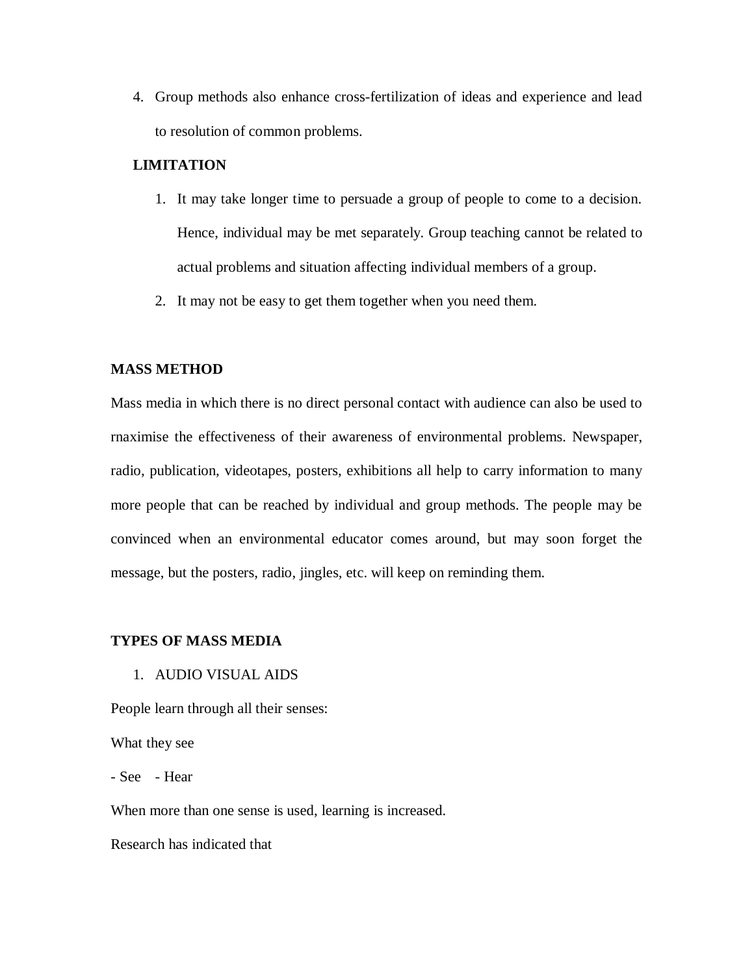4. Group methods also enhance cross-fertilization of ideas and experience and lead to resolution of common problems.

### **LIMITATION**

- 1. It may take longer time to persuade a group of people to come to a decision. Hence, individual may be met separately. Group teaching cannot be related to actual problems and situation affecting individual members of a group.
- 2. It may not be easy to get them together when you need them.

### **MASS METHOD**

Mass media in which there is no direct personal contact with audience can also be used to rnaximise the effectiveness of their awareness of environmental problems. Newspaper, radio, publication, videotapes, posters, exhibitions all help to carry information to many more people that can be reached by individual and group methods. The people may be convinced when an environmental educator comes around, but may soon forget the message, but the posters, radio, jingles, etc. will keep on reminding them.

#### **TYPES OF MASS MEDIA**

1. AUDIO VISUAL AIDS

People learn through all their senses:

What they see

- See - Hear

When more than one sense is used, learning is increased.

Research has indicated that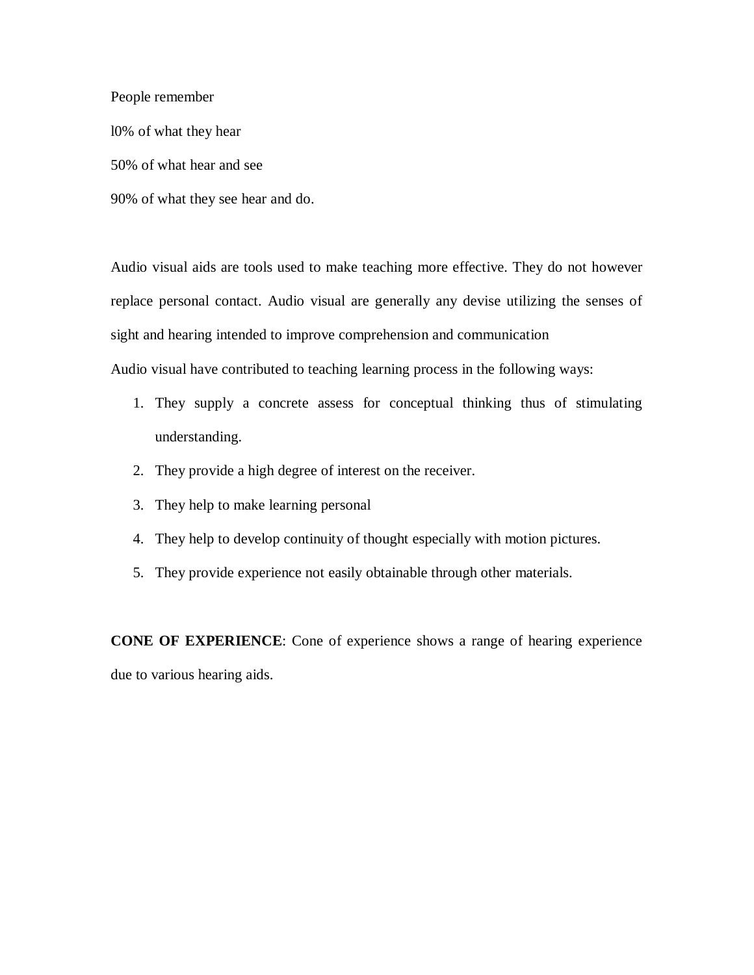People remember

l0% of what they hear

50% of what hear and see

90% of what they see hear and do.

Audio visual aids are tools used to make teaching more effective. They do not however replace personal contact. Audio visual are generally any devise utilizing the senses of sight and hearing intended to improve comprehension and communication Audio visual have contributed to teaching learning process in the following ways:

- 1. They supply a concrete assess for conceptual thinking thus of stimulating understanding.
- 2. They provide a high degree of interest on the receiver.
- 3. They help to make learning personal
- 4. They help to develop continuity of thought especially with motion pictures.
- 5. They provide experience not easily obtainable through other materials.

**CONE OF EXPERIENCE**: Cone of experience shows a range of hearing experience due to various hearing aids.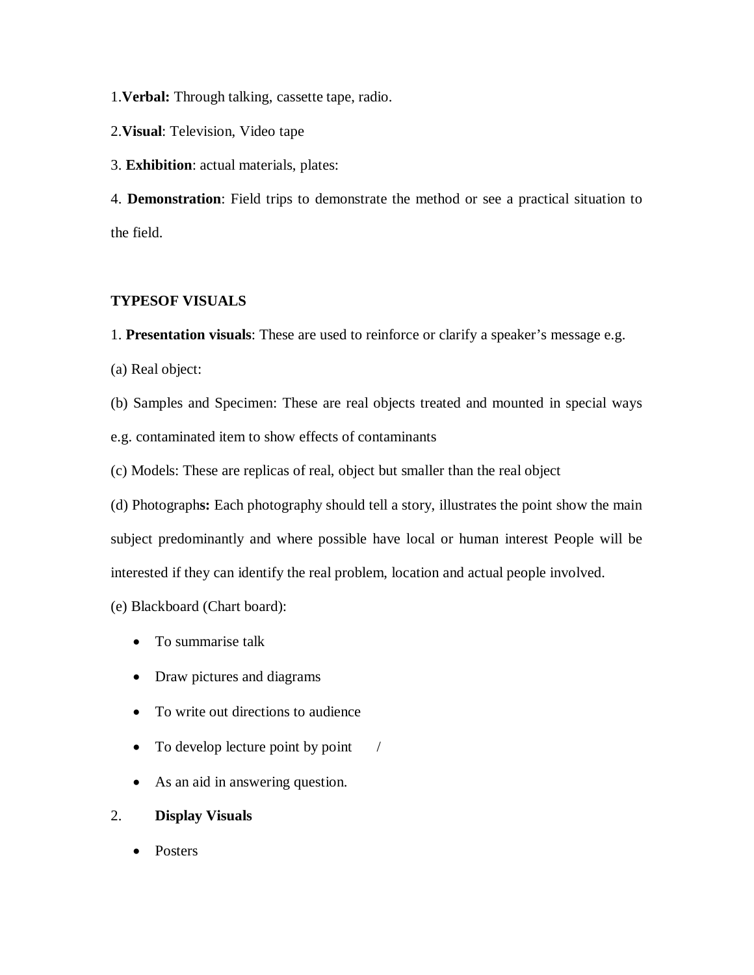1.**Verbal:** Through talking, cassette tape, radio.

2.**Visual**: Television, Video tape

3. **Exhibition**: actual materials, plates:

4. **Demonstration**: Field trips to demonstrate the method or see a practical situation to the field.

### **TYPESOF VISUALS**

1. **Presentation visuals**: These are used to reinforce or clarify a speaker's message e.g.

(a) Real object:

(b) Samples and Specimen: These are real objects treated and mounted in special ways

e.g. contaminated item to show effects of contaminants

(c) Models: These are replicas of real, object but smaller than the real object

(d) Photograph**s:** Each photography should tell a story, illustrates the point show the main subject predominantly and where possible have local or human interest People will be interested if they can identify the real problem, location and actual people involved.

(e) Blackboard (Chart board):

- To summarise talk
- Draw pictures and diagrams
- To write out directions to audience
- $\bullet$  To develop lecture point by point /
- As an aid in answering question.
- 2. **Display Visuals**
	- Posters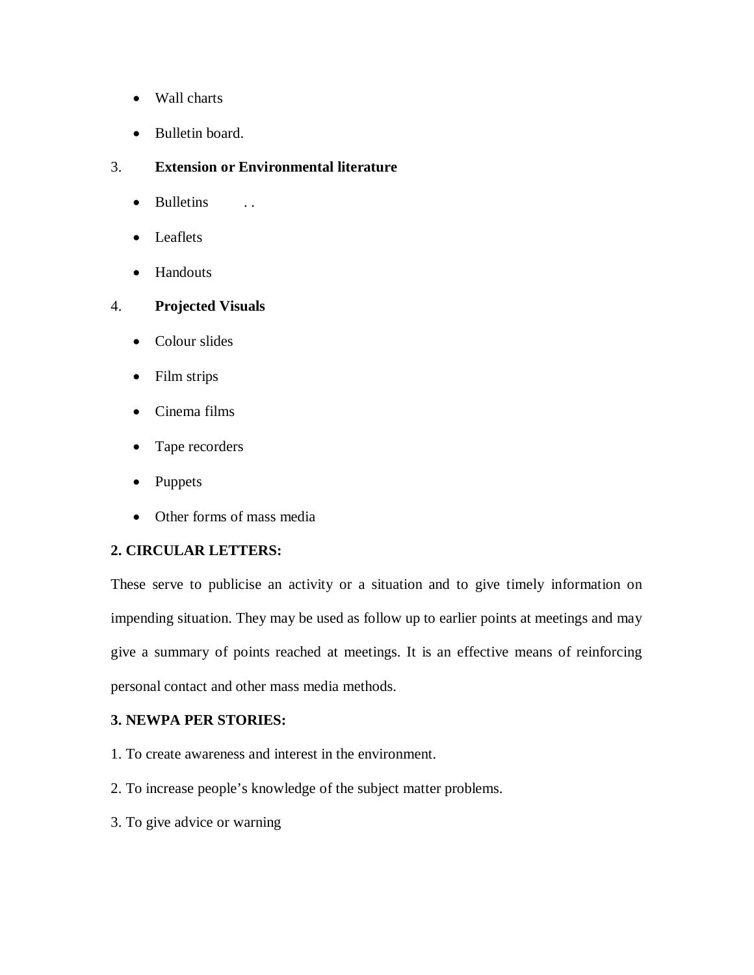- Wall charts
- Bulletin board.

# 3. **Extension or Environmental literature**

- Bulletins ..
- Leaflets
- Handouts

# 4. **Projected Visuals**

- Colour slides
- Film strips
- Cinema films
- Tape recorders
- Puppets
- Other forms of mass media

# **2. CIRCULAR LETTERS:**

These serve to publicise an activity or a situation and to give timely information on impending situation. They may be used as follow up to earlier points at meetings and may give a summary of points reached at meetings. It is an effective means of reinforcing personal contact and other mass media methods.

# **3. NEWPA PER STORIES:**

- 1. To create awareness and interest in the environment.
- 2. To increase people's knowledge of the subject matter problems.
- 3. To give advice or warning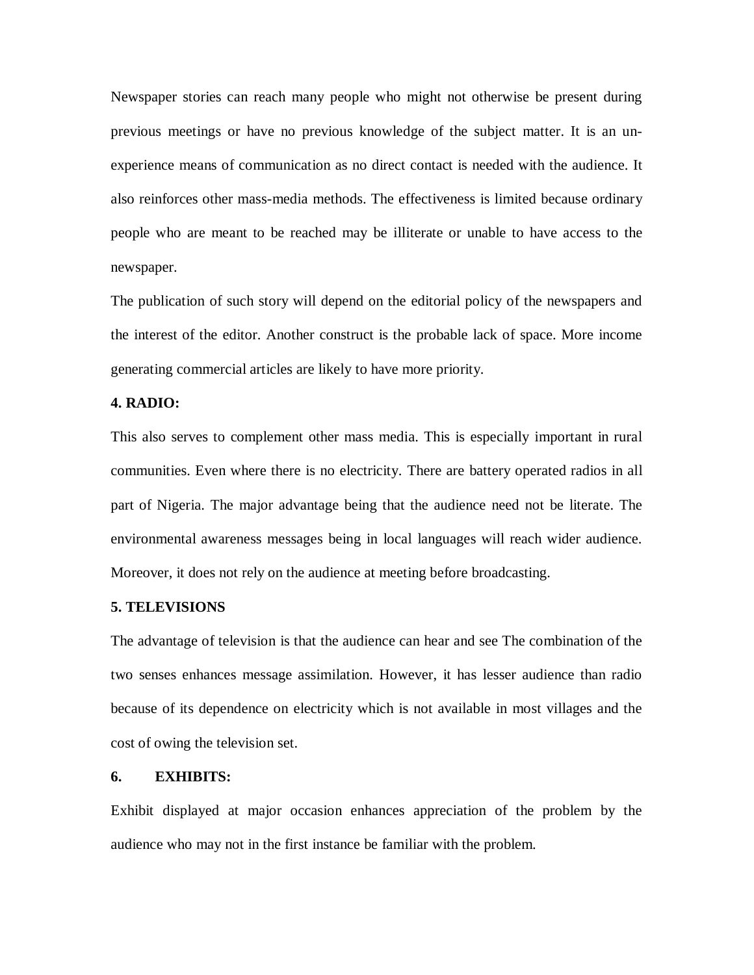Newspaper stories can reach many people who might not otherwise be present during previous meetings or have no previous knowledge of the subject matter. It is an unexperience means of communication as no direct contact is needed with the audience. It also reinforces other mass-media methods. The effectiveness is limited because ordinary people who are meant to be reached may be illiterate or unable to have access to the newspaper.

The publication of such story will depend on the editorial policy of the newspapers and the interest of the editor. Another construct is the probable lack of space. More income generating commercial articles are likely to have more priority.

### **4. RADIO:**

This also serves to complement other mass media. This is especially important in rural communities. Even where there is no electricity. There are battery operated radios in all part of Nigeria. The major advantage being that the audience need not be literate. The environmental awareness messages being in local languages will reach wider audience. Moreover, it does not rely on the audience at meeting before broadcasting.

#### **5. TELEVISIONS**

The advantage of television is that the audience can hear and see The combination of the two senses enhances message assimilation. However, it has lesser audience than radio because of its dependence on electricity which is not available in most villages and the cost of owing the television set.

#### **6. EXHIBITS:**

Exhibit displayed at major occasion enhances appreciation of the problem by the audience who may not in the first instance be familiar with the problem.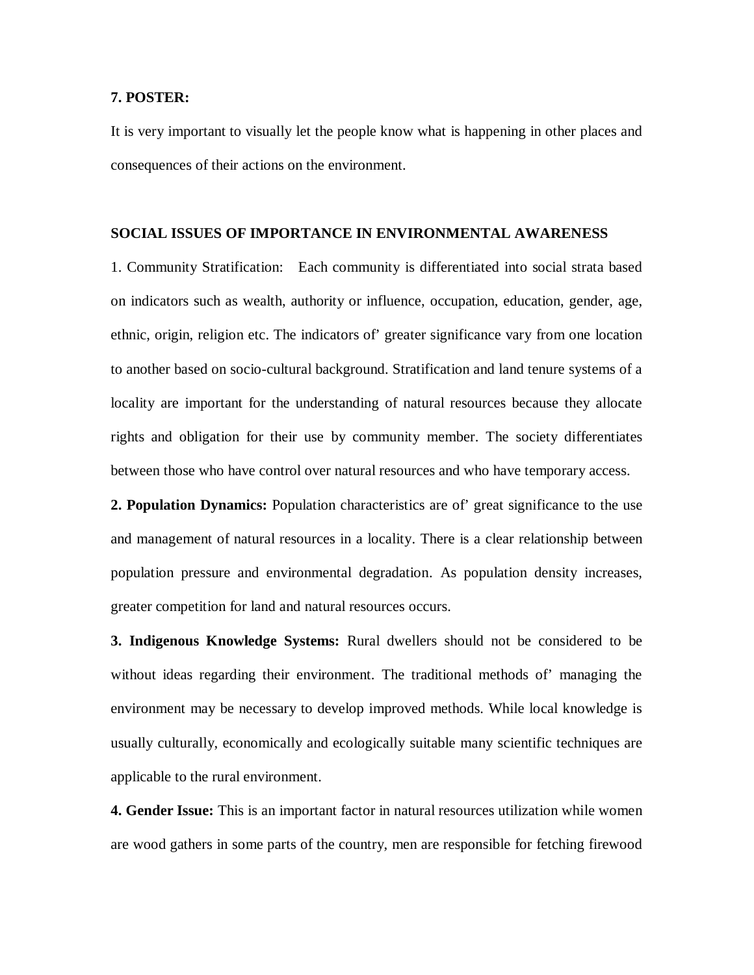### **7. POSTER:**

It is very important to visually let the people know what is happening in other places and consequences of their actions on the environment.

### **SOCIAL ISSUES OF IMPORTANCE IN ENVIRONMENTAL AWARENESS**

1. Community Stratification: Each community is differentiated into social strata based on indicators such as wealth, authority or influence, occupation, education, gender, age, ethnic, origin, religion etc. The indicators of' greater significance vary from one location to another based on socio-cultural background. Stratification and land tenure systems of a locality are important for the understanding of natural resources because they allocate rights and obligation for their use by community member. The society differentiates between those who have control over natural resources and who have temporary access.

**2. Population Dynamics:** Population characteristics are of' great significance to the use and management of natural resources in a locality. There is a clear relationship between population pressure and environmental degradation. As population density increases, greater competition for land and natural resources occurs.

**3. Indigenous Knowledge Systems:** Rural dwellers should not be considered to be without ideas regarding their environment. The traditional methods of' managing the environment may be necessary to develop improved methods. While local knowledge is usually culturally, economically and ecologically suitable many scientific techniques are applicable to the rural environment.

**4. Gender Issue:** This is an important factor in natural resources utilization while women are wood gathers in some parts of the country, men are responsible for fetching firewood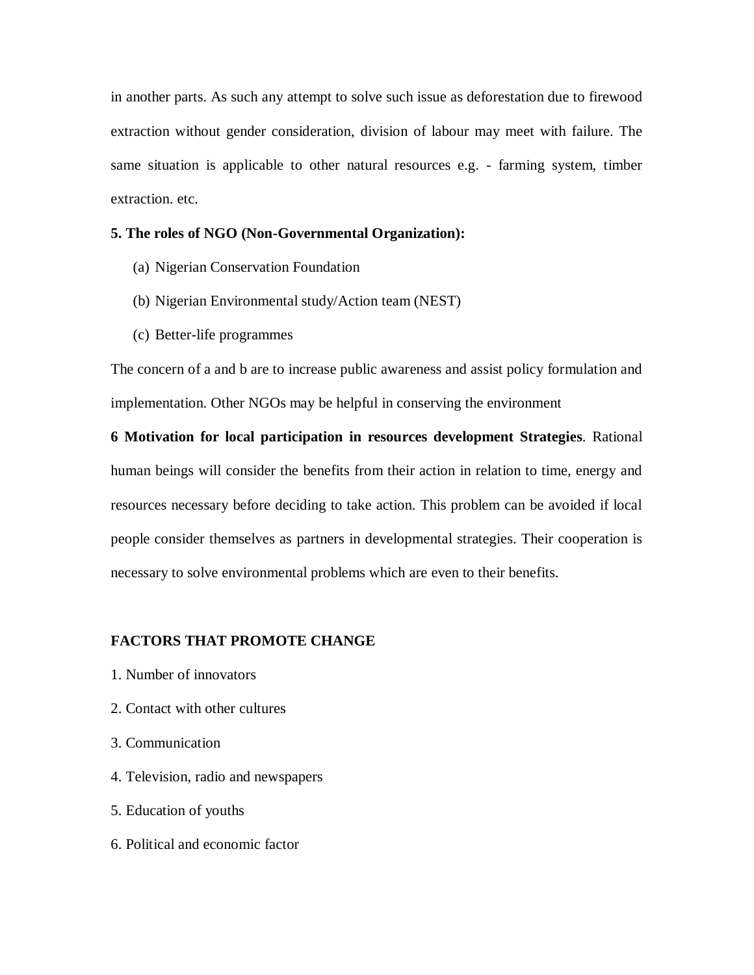in another parts. As such any attempt to solve such issue as deforestation due to firewood extraction without gender consideration, division of labour may meet with failure. The same situation is applicable to other natural resources e.g. - farming system, timber extraction. etc.

#### **5. The roles of NGO (Non-Governmental Organization):**

- (a) Nigerian Conservation Foundation
- (b) Nigerian Environmental study/Action team (NEST)
- (c) Better-life programmes

The concern of a and b are to increase public awareness and assist policy formulation and implementation. Other NGOs may be helpful in conserving the environment

**6 Motivation for local participation in resources development Strategies**. Rational human beings will consider the benefits from their action in relation to time, energy and resources necessary before deciding to take action. This problem can be avoided if local people consider themselves as partners in developmental strategies. Their cooperation is necessary to solve environmental problems which are even to their benefits.

#### **FACTORS THAT PROMOTE CHANGE**

- 1. Number of innovators
- 2. Contact with other cultures
- 3. Communication
- 4. Television, radio and newspapers
- 5. Education of youths
- 6. Political and economic factor